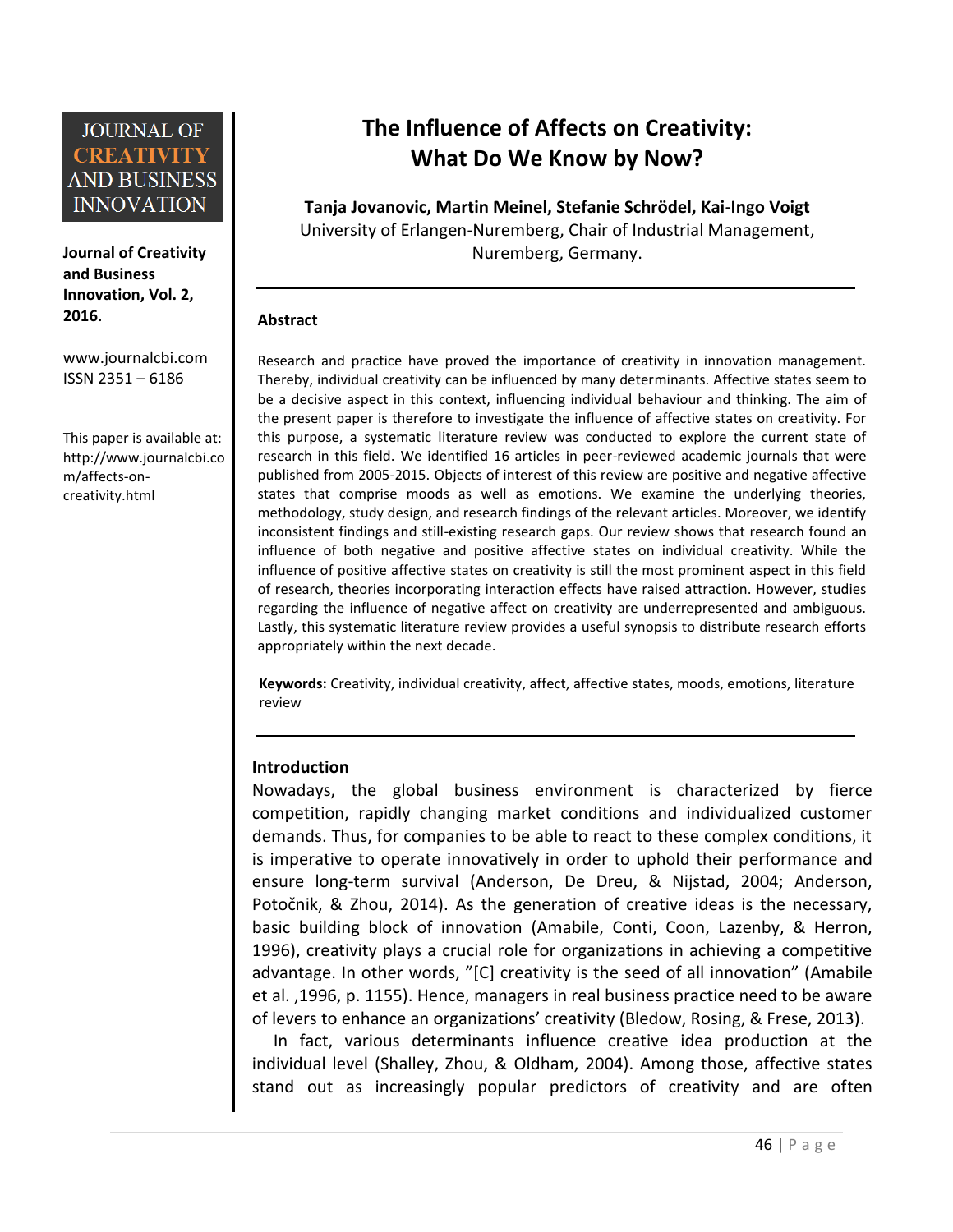

**Journal of Creativity and Business Innovation, Vol. 2, 2016**.

[www.journalcbi.com](http://www.journalcbi.com/) ISSN 2351 – 6186

This paper is available at: [http://www.journalcbi.co](http://www.journalcbi.com/ideation-using-analogies.html) [m/affects-on](http://www.journalcbi.com/ideation-using-analogies.html)[creativity.html](http://www.journalcbi.com/ideation-using-analogies.html)

# **The Influence of Affects on Creativity: What Do We Know by Now?**

**Tanja Jovanovic, Martin Meinel, Stefanie Schrödel, Kai-Ingo Voigt** University of Erlangen-Nuremberg, Chair of Industrial Management, Nuremberg, Germany.

#### **Abstract**

Research and practice have proved the importance of creativity in innovation management. Thereby, individual creativity can be influenced by many determinants. Affective states seem to be a decisive aspect in this context, influencing individual behaviour and thinking. The aim of the present paper is therefore to investigate the influence of affective states on creativity. For this purpose, a systematic literature review was conducted to explore the current state of research in this field. We identified 16 articles in peer-reviewed academic journals that were published from 2005-2015. Objects of interest of this review are positive and negative affective states that comprise moods as well as emotions. We examine the underlying theories, methodology, study design, and research findings of the relevant articles. Moreover, we identify inconsistent findings and still-existing research gaps. Our review shows that research found an influence of both negative and positive affective states on individual creativity. While the influence of positive affective states on creativity is still the most prominent aspect in this field of research, theories incorporating interaction effects have raised attraction. However, studies regarding the influence of negative affect on creativity are underrepresented and ambiguous. Lastly, this systematic literature review provides a useful synopsis to distribute research efforts appropriately within the next decade.

**Keywords:** Creativity, individual creativity, affect, affective states, moods, emotions, literature review

### **Introduction**

Nowadays, the global business environment is characterized by fierce competition, rapidly changing market conditions and individualized customer demands. Thus, for companies to be able to react to these complex conditions, it is imperative to operate innovatively in order to uphold their performance and ensure long-term survival (Anderson, De Dreu, & Nijstad, 2004; Anderson, Potočnik, & Zhou, 2014). As the generation of creative ideas is the necessary, basic building block of innovation (Amabile, Conti, Coon, Lazenby, & Herron, 1996), creativity plays a crucial role for organizations in achieving a competitive advantage. In other words, "[C] creativity is the seed of all innovation" (Amabile et al. ,1996, p. 1155). Hence, managers in real business practice need to be aware of levers to enhance an organizations' creativity (Bledow, Rosing, & Frese, 2013).

In fact, various determinants influence creative idea production at the individual level (Shalley, Zhou, & Oldham, 2004). Among those, affective states stand out as increasingly popular predictors of creativity and are often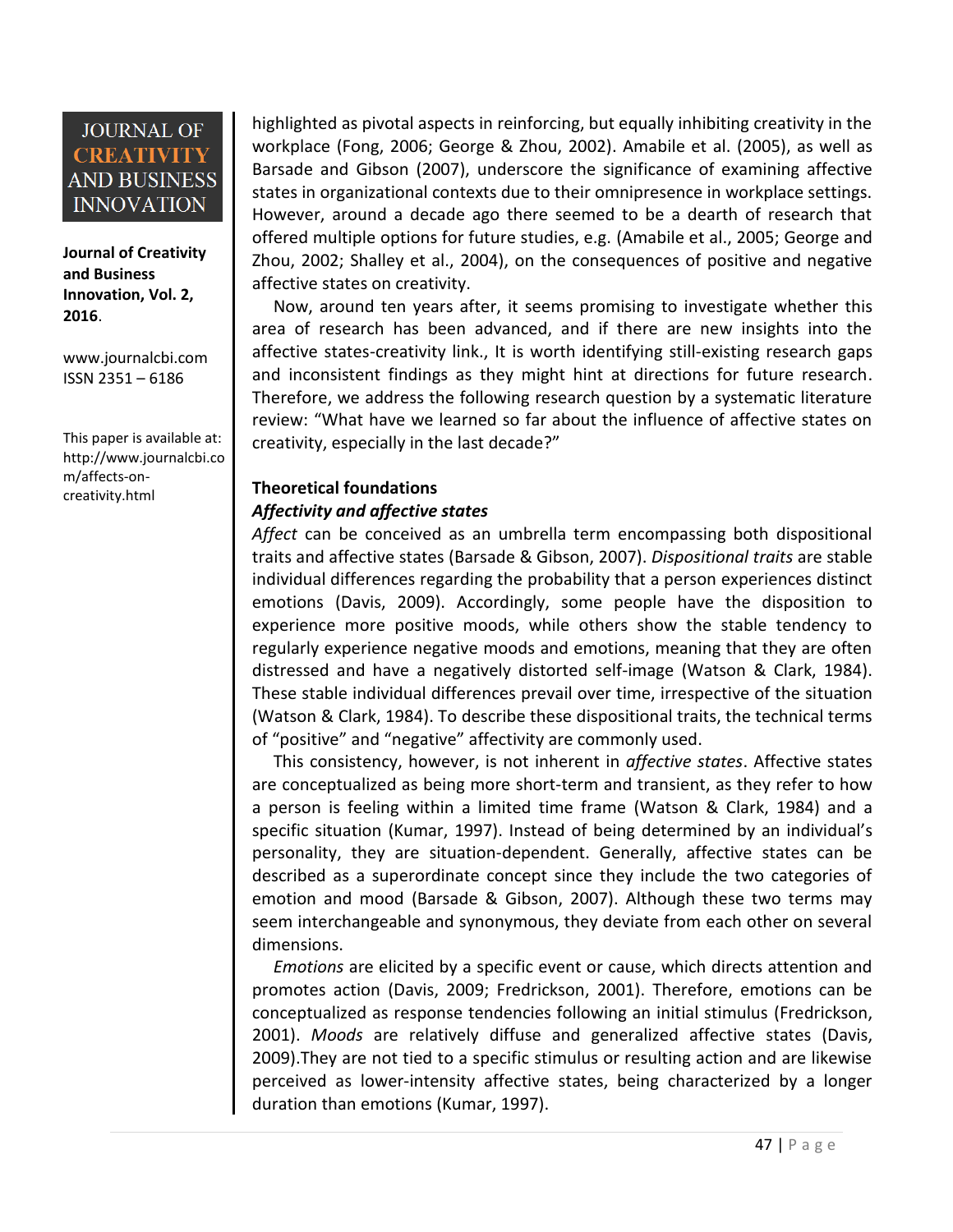**Journal of Creativity and Business Innovation, Vol. 2, 2016**.

[www.journalcbi.com](http://www.journalcbi.com/) ISSN 2351 – 6186

This paper is available at: [http://www.journalcbi.co](http://www.journalcbi.com/ideation-using-analogies.html) [m/affects-on](http://www.journalcbi.com/ideation-using-analogies.html)[creativity.html](http://www.journalcbi.com/ideation-using-analogies.html)

highlighted as pivotal aspects in reinforcing, but equally inhibiting creativity in the workplace (Fong, 2006; George & Zhou, 2002). Amabile et al. (2005), as well as Barsade and Gibson (2007), underscore the significance of examining affective states in organizational contexts due to their omnipresence in workplace settings. However, around a decade ago there seemed to be a dearth of research that offered multiple options for future studies, e.g. (Amabile et al., 2005; George and Zhou, 2002; Shalley et al., 2004), on the consequences of positive and negative affective states on creativity.

Now, around ten years after, it seems promising to investigate whether this area of research has been advanced, and if there are new insights into the affective states-creativity link., It is worth identifying still-existing research gaps and inconsistent findings as they might hint at directions for future research. Therefore, we address the following research question by a systematic literature review: "What have we learned so far about the influence of affective states on creativity, especially in the last decade?"

#### **Theoretical foundations**  *Affectivity and affective states*

*Affect* can be conceived as an umbrella term encompassing both dispositional traits and affective states (Barsade & Gibson, 2007). *Dispositional traits* are stable individual differences regarding the probability that a person experiences distinct emotions (Davis, 2009). Accordingly, some people have the disposition to experience more positive moods, while others show the stable tendency to regularly experience negative moods and emotions, meaning that they are often distressed and have a negatively distorted self-image (Watson & Clark, 1984). These stable individual differences prevail over time, irrespective of the situation (Watson & Clark, 1984). To describe these dispositional traits, the technical terms of "positive" and "negative" affectivity are commonly used.

This consistency, however, is not inherent in *affective states*. Affective states are conceptualized as being more short-term and transient, as they refer to how a person is feeling within a limited time frame (Watson & Clark, 1984) and a specific situation (Kumar, 1997). Instead of being determined by an individual's personality, they are situation-dependent. Generally, affective states can be described as a superordinate concept since they include the two categories of emotion and mood (Barsade & Gibson, 2007). Although these two terms may seem interchangeable and synonymous, they deviate from each other on several dimensions.

*Emotions* are elicited by a specific event or cause, which directs attention and promotes action (Davis, 2009; Fredrickson, 2001). Therefore, emotions can be conceptualized as response tendencies following an initial stimulus (Fredrickson, 2001). *Moods* are relatively diffuse and generalized affective states (Davis, 2009).They are not tied to a specific stimulus or resulting action and are likewise perceived as lower-intensity affective states, being characterized by a longer duration than emotions (Kumar, 1997).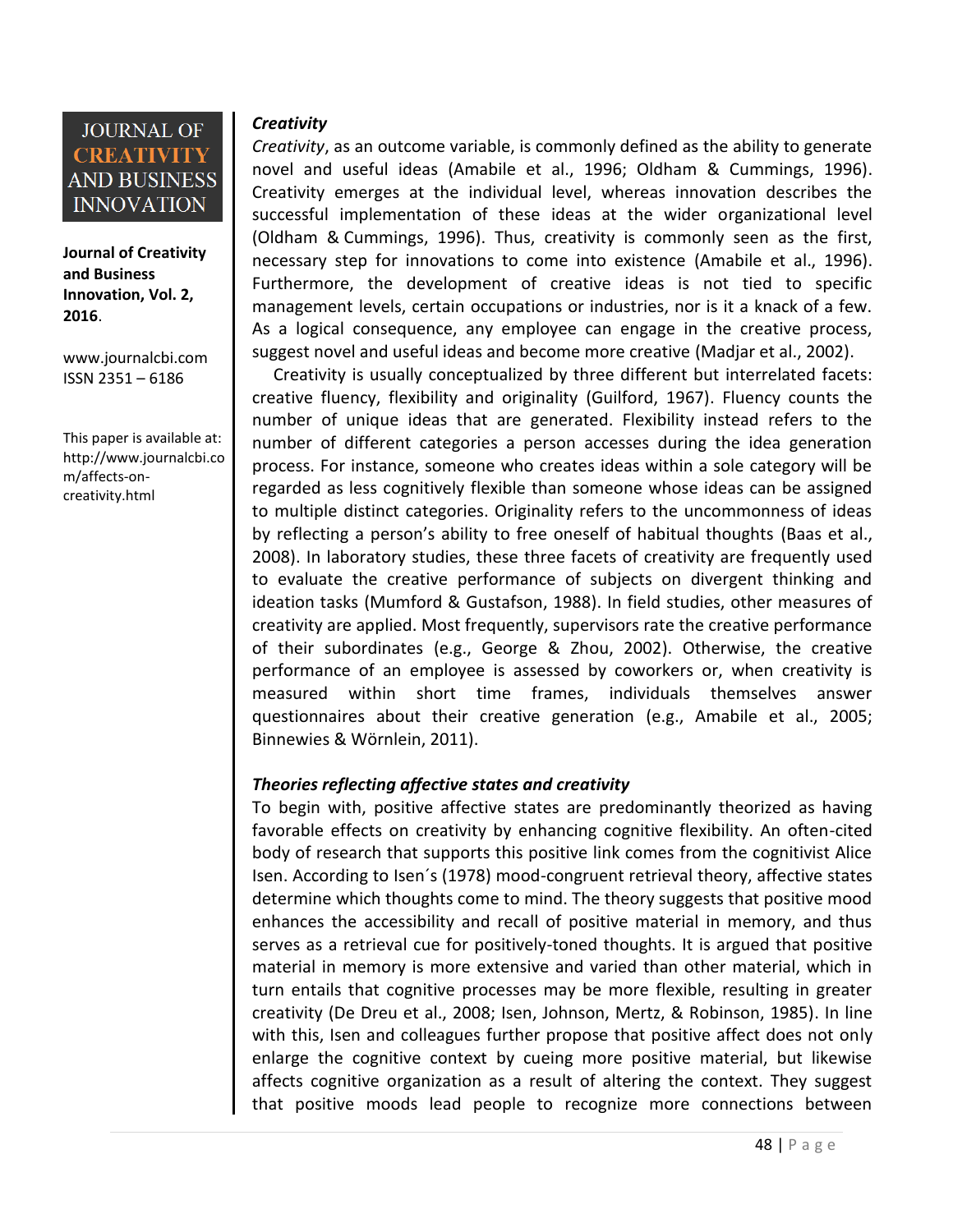

**Journal of Creativity and Business Innovation, Vol. 2, 2016**.

[www.journalcbi.com](http://www.journalcbi.com/) ISSN 2351 – 6186

This paper is available at: [http://www.journalcbi.co](http://www.journalcbi.com/ideation-using-analogies.html) [m/affects-on](http://www.journalcbi.com/ideation-using-analogies.html)[creativity.html](http://www.journalcbi.com/ideation-using-analogies.html)

#### *Creativity*

*Creativity*, as an outcome variable, is commonly defined as the ability to generate novel and useful ideas (Amabile et al., 1996; Oldham & Cummings, 1996). Creativity emerges at the individual level, whereas innovation describes the successful implementation of these ideas at the wider organizational level (Oldham & Cummings, 1996). Thus, creativity is commonly seen as the first, necessary step for innovations to come into existence (Amabile et al., 1996). Furthermore, the development of creative ideas is not tied to specific management levels, certain occupations or industries, nor is it a knack of a few. As a logical consequence, any employee can engage in the creative process, suggest novel and useful ideas and become more creative (Madjar et al., 2002).

Creativity is usually conceptualized by three different but interrelated facets: creative fluency, flexibility and originality (Guilford, 1967). Fluency counts the number of unique ideas that are generated. Flexibility instead refers to the number of different categories a person accesses during the idea generation process. For instance, someone who creates ideas within a sole category will be regarded as less cognitively flexible than someone whose ideas can be assigned to multiple distinct categories. Originality refers to the uncommonness of ideas by reflecting a person's ability to free oneself of habitual thoughts (Baas et al., 2008). In laboratory studies, these three facets of creativity are frequently used to evaluate the creative performance of subjects on divergent thinking and ideation tasks (Mumford & Gustafson, 1988). In field studies, other measures of creativity are applied. Most frequently, supervisors rate the creative performance of their subordinates (e.g., George & Zhou, 2002). Otherwise, the creative performance of an employee is assessed by coworkers or, when creativity is measured within short time frames, individuals themselves answer questionnaires about their creative generation (e.g., Amabile et al., 2005; Binnewies & Wörnlein, 2011).

#### *Theories reflecting affective states and creativity*

To begin with, positive affective states are predominantly theorized as having favorable effects on creativity by enhancing cognitive flexibility. An often-cited body of research that supports this positive link comes from the cognitivist Alice Isen. According to Isen´s (1978) mood-congruent retrieval theory, affective states determine which thoughts come to mind. The theory suggests that positive mood enhances the accessibility and recall of positive material in memory, and thus serves as a retrieval cue for positively-toned thoughts. It is argued that positive material in memory is more extensive and varied than other material, which in turn entails that cognitive processes may be more flexible, resulting in greater creativity (De Dreu et al., 2008; Isen, Johnson, Mertz, & Robinson, 1985). In line with this, Isen and colleagues further propose that positive affect does not only enlarge the cognitive context by cueing more positive material, but likewise affects cognitive organization as a result of altering the context. They suggest that positive moods lead people to recognize more connections between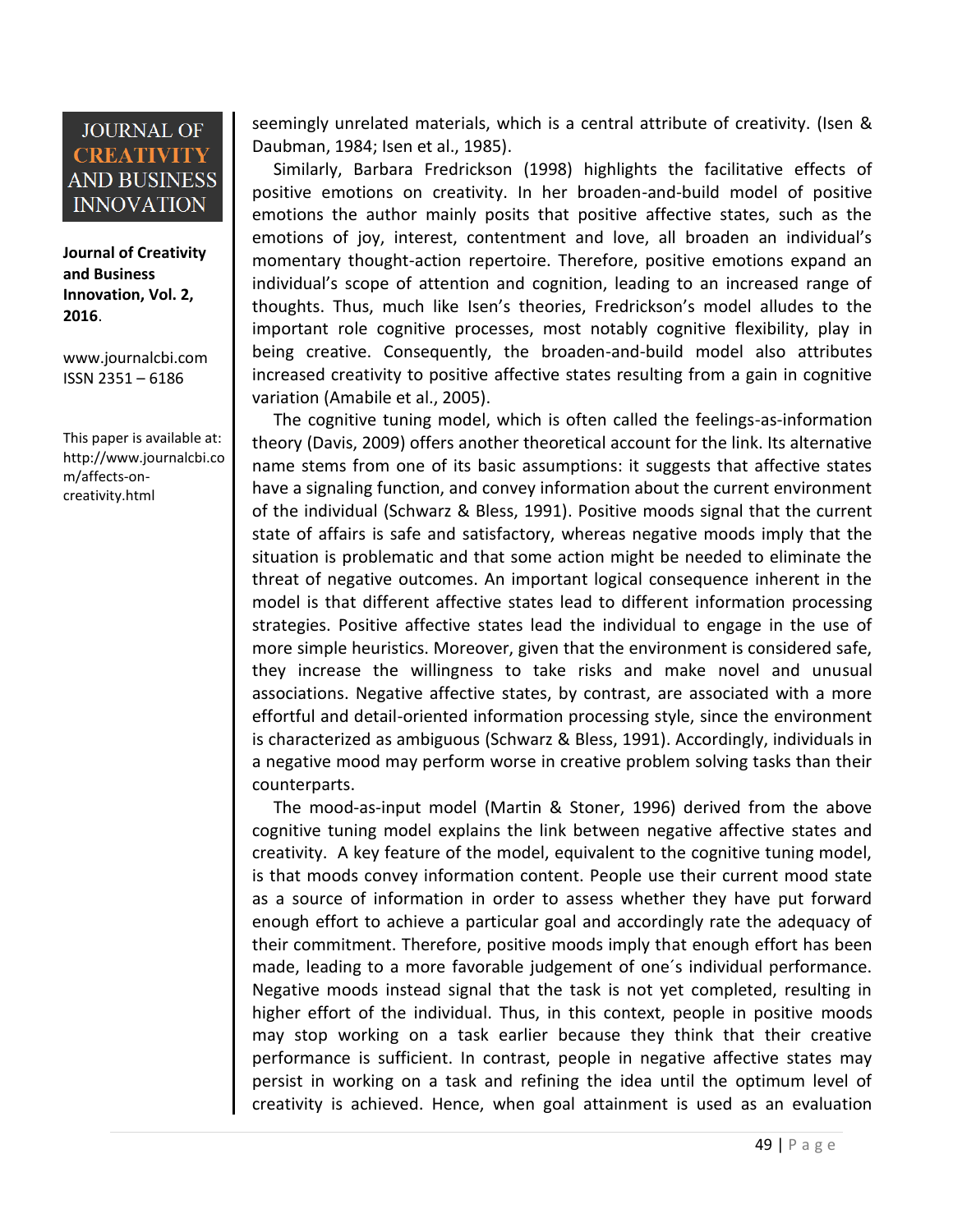**Journal of Creativity and Business Innovation, Vol. 2, 2016**.

[www.journalcbi.com](http://www.journalcbi.com/) ISSN 2351 – 6186

This paper is available at: [http://www.journalcbi.co](http://www.journalcbi.com/ideation-using-analogies.html) [m/affects-on](http://www.journalcbi.com/ideation-using-analogies.html)[creativity.html](http://www.journalcbi.com/ideation-using-analogies.html)

seemingly unrelated materials, which is a central attribute of creativity. (Isen & Daubman, 1984; Isen et al., 1985).

Similarly, Barbara Fredrickson (1998) highlights the facilitative effects of positive emotions on creativity. In her broaden-and-build model of positive emotions the author mainly posits that positive affective states, such as the emotions of joy, interest, contentment and love, all broaden an individual's momentary thought-action repertoire. Therefore, positive emotions expand an individual's scope of attention and cognition, leading to an increased range of thoughts. Thus, much like Isen's theories, Fredrickson's model alludes to the important role cognitive processes, most notably cognitive flexibility, play in being creative. Consequently, the broaden-and-build model also attributes increased creativity to positive affective states resulting from a gain in cognitive variation (Amabile et al., 2005).

The cognitive tuning model, which is often called the feelings-as-information theory (Davis, 2009) offers another theoretical account for the link. Its alternative name stems from one of its basic assumptions: it suggests that affective states have a signaling function, and convey information about the current environment of the individual (Schwarz & Bless, 1991). Positive moods signal that the current state of affairs is safe and satisfactory, whereas negative moods imply that the situation is problematic and that some action might be needed to eliminate the threat of negative outcomes. An important logical consequence inherent in the model is that different affective states lead to different information processing strategies. Positive affective states lead the individual to engage in the use of more simple heuristics. Moreover, given that the environment is considered safe, they increase the willingness to take risks and make novel and unusual associations. Negative affective states, by contrast, are associated with a more effortful and detail-oriented information processing style, since the environment is characterized as ambiguous (Schwarz & Bless, 1991). Accordingly, individuals in a negative mood may perform worse in creative problem solving tasks than their counterparts.

The mood-as-input model (Martin & Stoner, 1996) derived from the above cognitive tuning model explains the link between negative affective states and creativity. A key feature of the model, equivalent to the cognitive tuning model, is that moods convey information content. People use their current mood state as a source of information in order to assess whether they have put forward enough effort to achieve a particular goal and accordingly rate the adequacy of their commitment. Therefore, positive moods imply that enough effort has been made, leading to a more favorable judgement of one´s individual performance. Negative moods instead signal that the task is not yet completed, resulting in higher effort of the individual. Thus, in this context, people in positive moods may stop working on a task earlier because they think that their creative performance is sufficient. In contrast, people in negative affective states may persist in working on a task and refining the idea until the optimum level of creativity is achieved. Hence, when goal attainment is used as an evaluation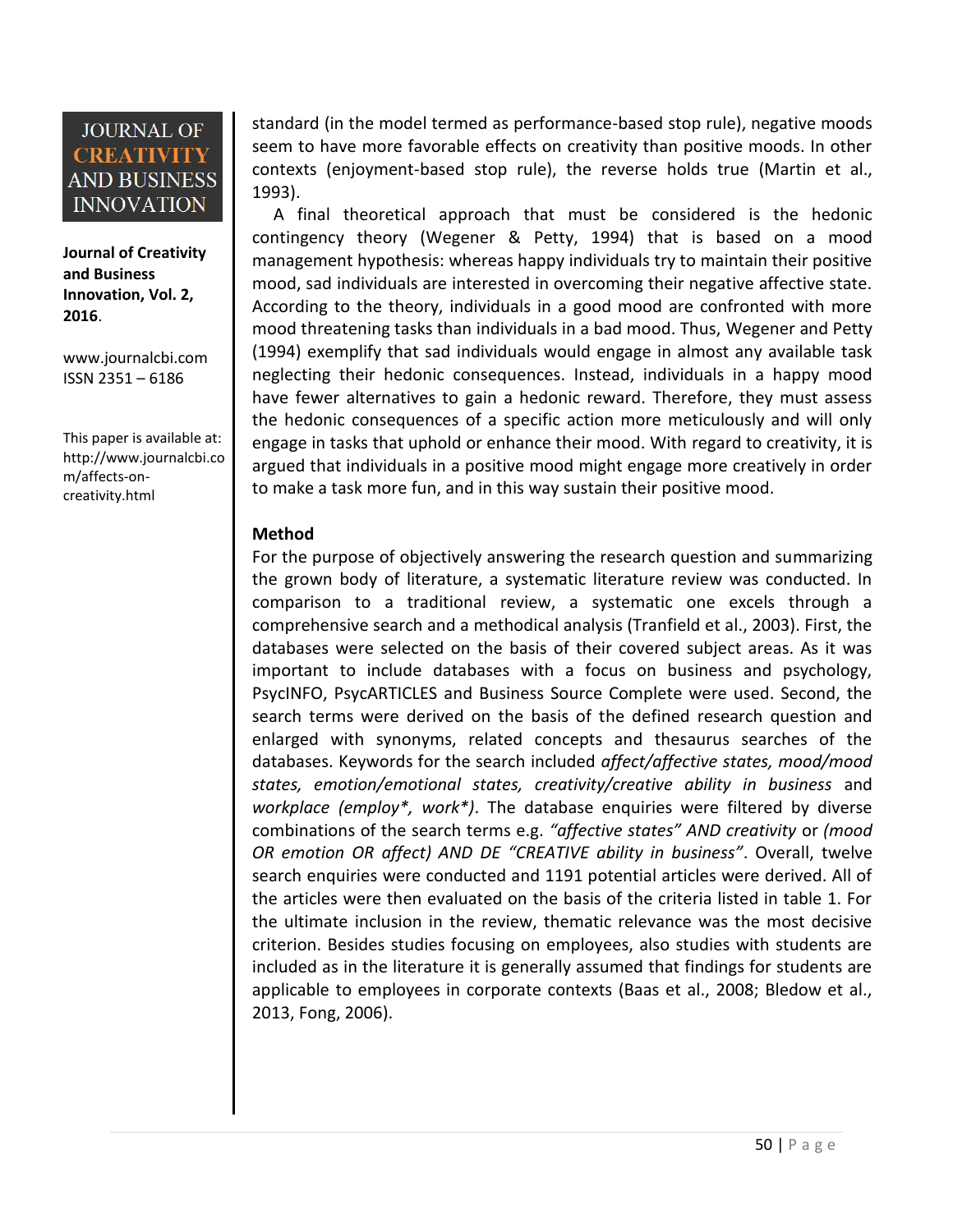**Journal of Creativity and Business Innovation, Vol. 2, 2016**.

[www.journalcbi.com](http://www.journalcbi.com/) ISSN 2351 – 6186

This paper is available at: [http://www.journalcbi.co](http://www.journalcbi.com/ideation-using-analogies.html) [m/affects-on](http://www.journalcbi.com/ideation-using-analogies.html)[creativity.html](http://www.journalcbi.com/ideation-using-analogies.html)

standard (in the model termed as performance-based stop rule), negative moods seem to have more favorable effects on creativity than positive moods. In other contexts (enjoyment-based stop rule), the reverse holds true (Martin et al., 1993).

A final theoretical approach that must be considered is the hedonic contingency theory (Wegener & Petty, 1994) that is based on a mood management hypothesis: whereas happy individuals try to maintain their positive mood, sad individuals are interested in overcoming their negative affective state. According to the theory, individuals in a good mood are confronted with more mood threatening tasks than individuals in a bad mood. Thus, Wegener and Petty (1994) exemplify that sad individuals would engage in almost any available task neglecting their hedonic consequences. Instead, individuals in a happy mood have fewer alternatives to gain a hedonic reward. Therefore, they must assess the hedonic consequences of a specific action more meticulously and will only engage in tasks that uphold or enhance their mood. With regard to creativity, it is argued that individuals in a positive mood might engage more creatively in order to make a task more fun, and in this way sustain their positive mood.

#### **Method**

For the purpose of objectively answering the research question and summarizing the grown body of literature, a systematic literature review was conducted. In comparison to a traditional review, a systematic one excels through a comprehensive search and a methodical analysis (Tranfield et al., 2003). First, the databases were selected on the basis of their covered subject areas. As it was important to include databases with a focus on business and psychology, PsycINFO, PsycARTICLES and Business Source Complete were used. Second, the search terms were derived on the basis of the defined research question and enlarged with synonyms, related concepts and thesaurus searches of the databases. Keywords for the search included *affect/affective states, mood/mood states, emotion/emotional states, creativity/creative ability in business* and *workplace (employ\*, work\*)*. The database enquiries were filtered by diverse combinations of the search terms e.g. *"affective states" AND creativity* or *(mood OR emotion OR affect) AND DE "CREATIVE ability in business"*. Overall, twelve search enquiries were conducted and 1191 potential articles were derived. All of the articles were then evaluated on the basis of the criteria listed in table 1. For the ultimate inclusion in the review, thematic relevance was the most decisive criterion. Besides studies focusing on employees, also studies with students are included as in the literature it is generally assumed that findings for students are applicable to employees in corporate contexts (Baas et al., 2008; Bledow et al., 2013, Fong, 2006).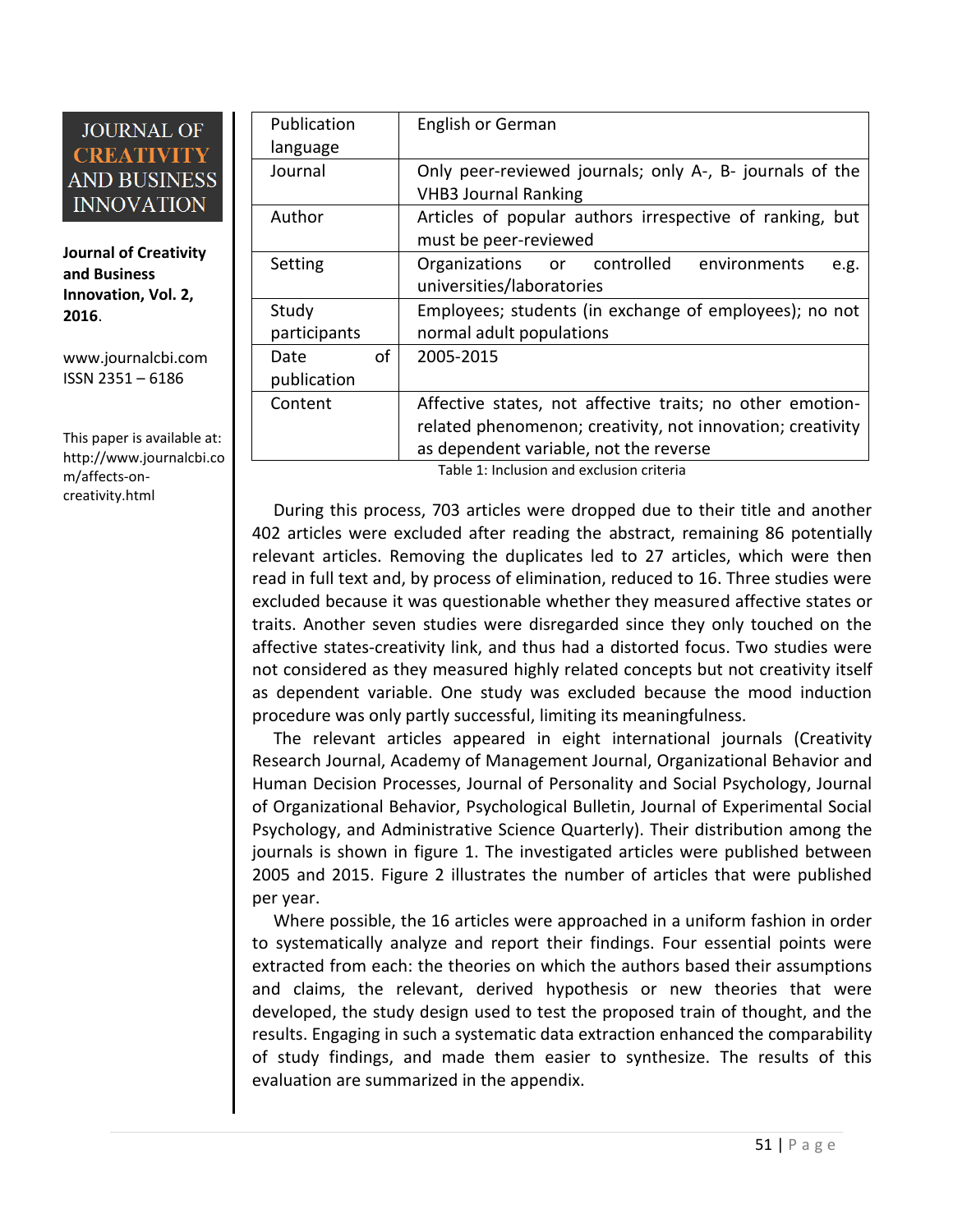**Journal of Creativity and Business Innovation, Vol. 2, 2016**.

[www.journalcbi.com](http://www.journalcbi.com/) ISSN 2351 – 6186

This paper is available at: [http://www.journalcbi.co](http://www.journalcbi.com/ideation-using-analogies.html) [m/affects-on](http://www.journalcbi.com/ideation-using-analogies.html)[creativity.html](http://www.journalcbi.com/ideation-using-analogies.html)

| Publication  | English or German                                           |
|--------------|-------------------------------------------------------------|
| language     |                                                             |
| Journal      | Only peer-reviewed journals; only A-, B- journals of the    |
|              | <b>VHB3 Journal Ranking</b>                                 |
| Author       | Articles of popular authors irrespective of ranking,<br>but |
|              | must be peer-reviewed                                       |
| Setting      | Organizations or controlled<br>environments<br>e.g.         |
|              | universities/laboratories                                   |
| Study        | Employees; students (in exchange of employees); no not      |
| participants | normal adult populations                                    |
| of<br>Date   | 2005-2015                                                   |
| publication  |                                                             |
| Content      | Affective states, not affective traits; no other emotion-   |
|              | related phenomenon; creativity, not innovation; creativity  |
|              | as dependent variable, not the reverse                      |

Table 1: Inclusion and exclusion criteria

During this process, 703 articles were dropped due to their title and another 402 articles were excluded after reading the abstract, remaining 86 potentially relevant articles. Removing the duplicates led to 27 articles, which were then read in full text and, by process of elimination, reduced to 16. Three studies were excluded because it was questionable whether they measured affective states or traits. Another seven studies were disregarded since they only touched on the affective states-creativity link, and thus had a distorted focus. Two studies were not considered as they measured highly related concepts but not creativity itself as dependent variable. One study was excluded because the mood induction procedure was only partly successful, limiting its meaningfulness.

The relevant articles appeared in eight international journals (Creativity Research Journal, Academy of Management Journal, Organizational Behavior and Human Decision Processes, Journal of Personality and Social Psychology, Journal of Organizational Behavior, Psychological Bulletin, Journal of Experimental Social Psychology, and Administrative Science Quarterly). Their distribution among the journals is shown in figure 1. The investigated articles were published between 2005 and 2015. Figure 2 illustrates the number of articles that were published per year.

Where possible, the 16 articles were approached in a uniform fashion in order to systematically analyze and report their findings. Four essential points were extracted from each: the theories on which the authors based their assumptions and claims, the relevant, derived hypothesis or new theories that were developed, the study design used to test the proposed train of thought, and the results. Engaging in such a systematic data extraction enhanced the comparability of study findings, and made them easier to synthesize. The results of this evaluation are summarized in the appendix.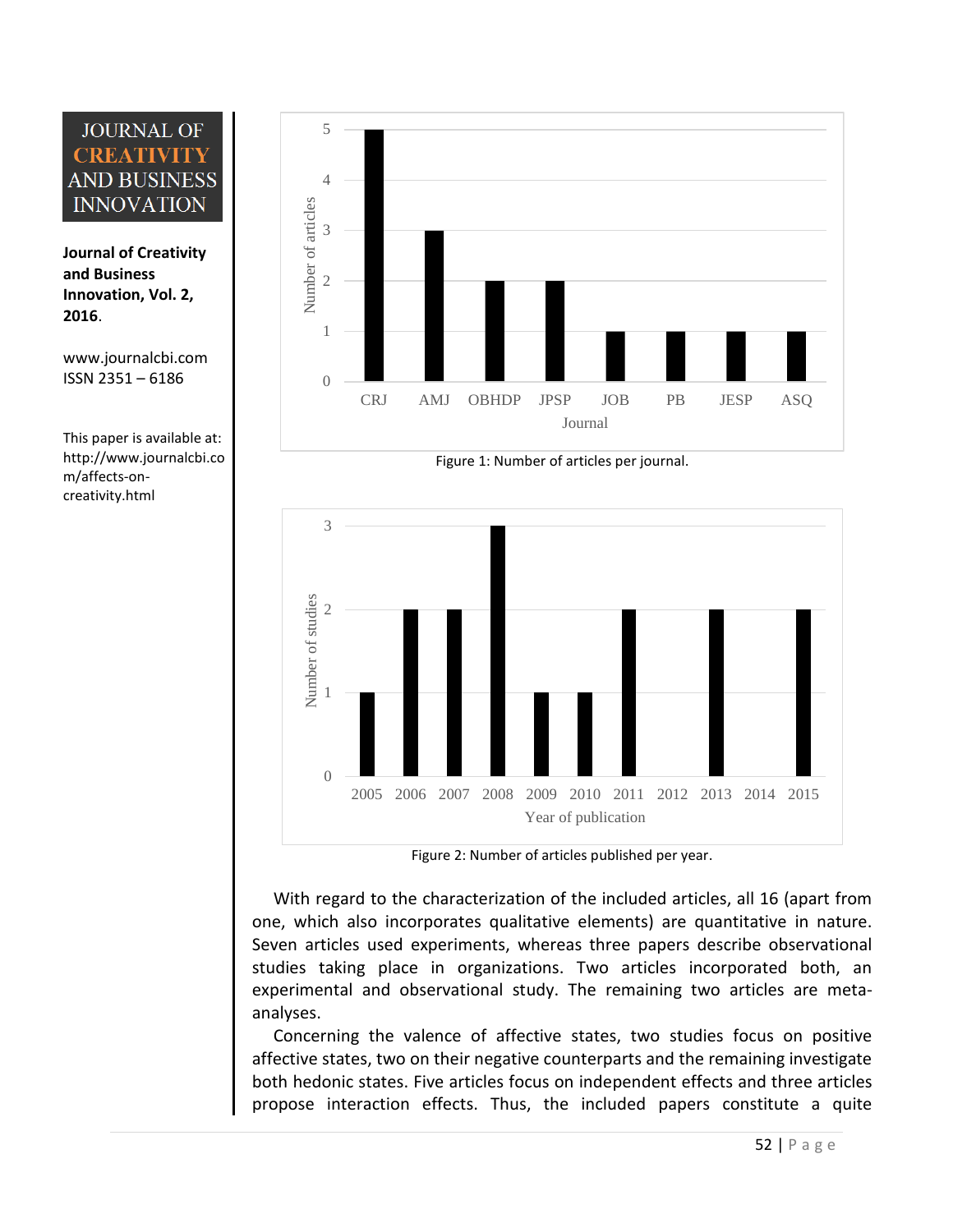**Journal of Creativity and Business Innovation, Vol. 2, 2016**.

[www.journalcbi.com](http://www.journalcbi.com/) ISSN 2351 – 6186

This paper is available at: [http://www.journalcbi.co](http://www.journalcbi.com/ideation-using-analogies.html) [m/affects-on](http://www.journalcbi.com/ideation-using-analogies.html)[creativity.html](http://www.journalcbi.com/ideation-using-analogies.html)



Figure 1: Number of articles per journal.



Figure 2: Number of articles published per year.

With regard to the characterization of the included articles, all 16 (apart from one, which also incorporates qualitative elements) are quantitative in nature. Seven articles used experiments, whereas three papers describe observational studies taking place in organizations. Two articles incorporated both, an experimental and observational study. The remaining two articles are metaanalyses.

Concerning the valence of affective states, two studies focus on positive affective states, two on their negative counterparts and the remaining investigate both hedonic states. Five articles focus on independent effects and three articles propose interaction effects. Thus, the included papers constitute a quite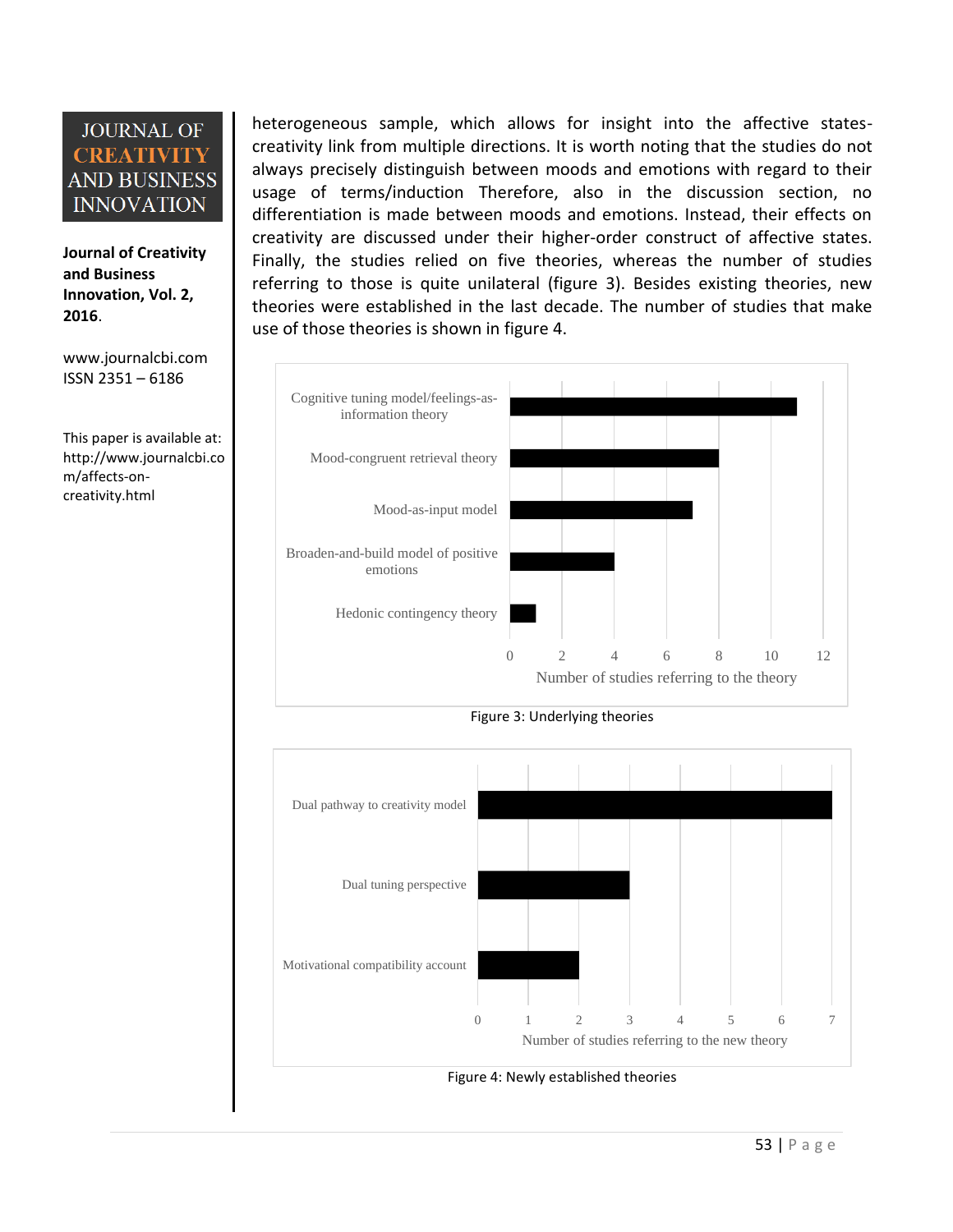**Journal of Creativity and Business Innovation, Vol. 2, 2016**.

[www.journalcbi.com](http://www.journalcbi.com/) ISSN 2351 – 6186

This paper is available at: [http://www.journalcbi.co](http://www.journalcbi.com/ideation-using-analogies.html) [m/affects-on](http://www.journalcbi.com/ideation-using-analogies.html)[creativity.html](http://www.journalcbi.com/ideation-using-analogies.html)

heterogeneous sample, which allows for insight into the affective statescreativity link from multiple directions. It is worth noting that the studies do not always precisely distinguish between moods and emotions with regard to their usage of terms/induction Therefore, also in the discussion section, no differentiation is made between moods and emotions. Instead, their effects on creativity are discussed under their higher-order construct of affective states. Finally, the studies relied on five theories, whereas the number of studies referring to those is quite unilateral (figure 3). Besides existing theories, new theories were established in the last decade. The number of studies that make use of those theories is shown in figure 4.



Figure 3: Underlying theories

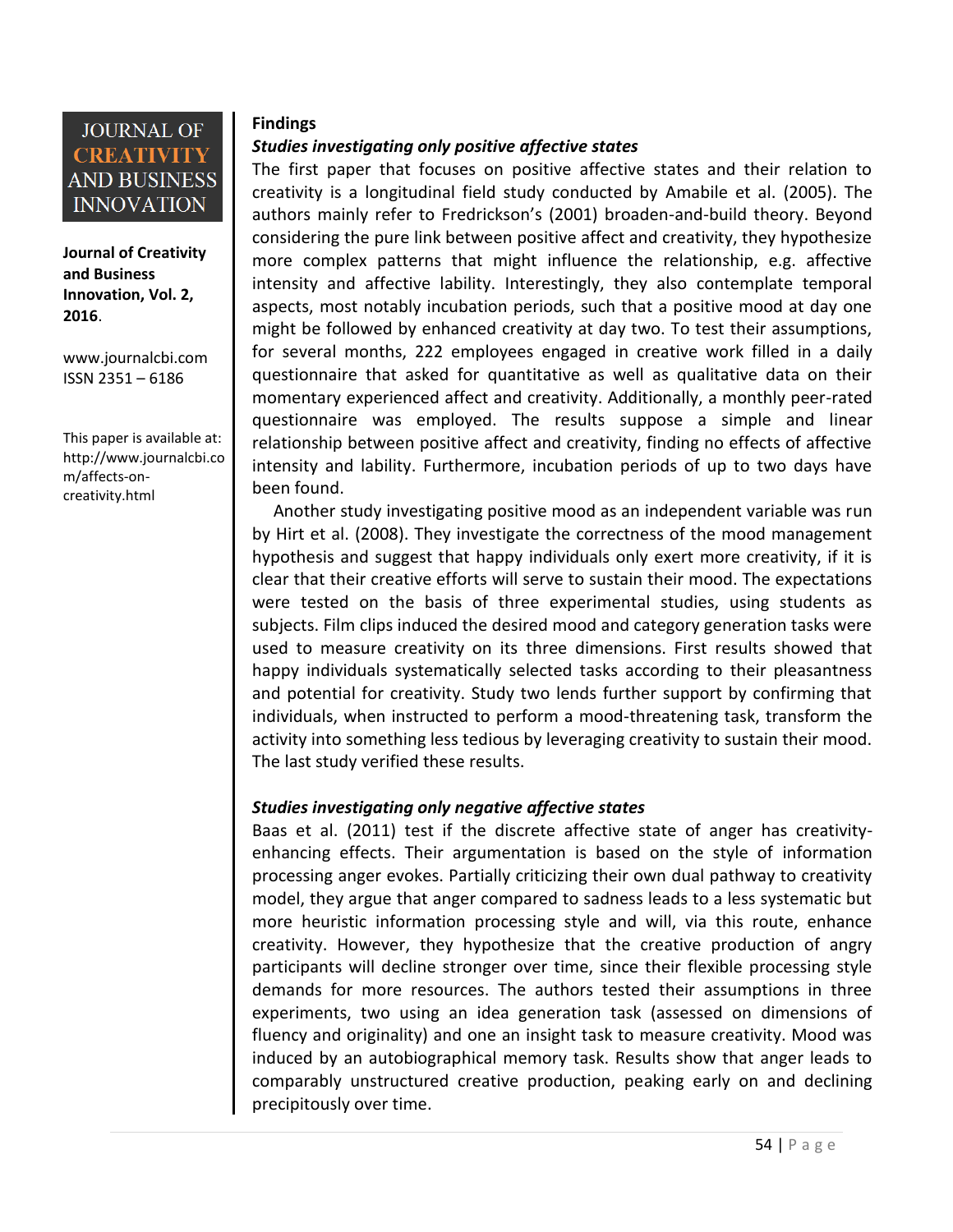

**Journal of Creativity and Business Innovation, Vol. 2, 2016**.

[www.journalcbi.com](http://www.journalcbi.com/) ISSN 2351 – 6186

This paper is available at: [http://www.journalcbi.co](http://www.journalcbi.com/ideation-using-analogies.html) [m/affects-on](http://www.journalcbi.com/ideation-using-analogies.html)[creativity.html](http://www.journalcbi.com/ideation-using-analogies.html)

#### **Findings**

#### *Studies investigating only positive affective states*

The first paper that focuses on positive affective states and their relation to creativity is a longitudinal field study conducted by Amabile et al. (2005). The authors mainly refer to Fredrickson's (2001) broaden-and-build theory. Beyond considering the pure link between positive affect and creativity, they hypothesize more complex patterns that might influence the relationship, e.g. affective intensity and affective lability. Interestingly, they also contemplate temporal aspects, most notably incubation periods, such that a positive mood at day one might be followed by enhanced creativity at day two. To test their assumptions, for several months, 222 employees engaged in creative work filled in a daily questionnaire that asked for quantitative as well as qualitative data on their momentary experienced affect and creativity. Additionally, a monthly peer-rated questionnaire was employed. The results suppose a simple and linear relationship between positive affect and creativity, finding no effects of affective intensity and lability. Furthermore, incubation periods of up to two days have been found.

Another study investigating positive mood as an independent variable was run by Hirt et al. (2008). They investigate the correctness of the mood management hypothesis and suggest that happy individuals only exert more creativity, if it is clear that their creative efforts will serve to sustain their mood. The expectations were tested on the basis of three experimental studies, using students as subjects. Film clips induced the desired mood and category generation tasks were used to measure creativity on its three dimensions. First results showed that happy individuals systematically selected tasks according to their pleasantness and potential for creativity. Study two lends further support by confirming that individuals, when instructed to perform a mood-threatening task, transform the activity into something less tedious by leveraging creativity to sustain their mood. The last study verified these results.

#### *Studies investigating only negative affective states*

Baas et al. (2011) test if the discrete affective state of anger has creativityenhancing effects. Their argumentation is based on the style of information processing anger evokes. Partially criticizing their own dual pathway to creativity model, they argue that anger compared to sadness leads to a less systematic but more heuristic information processing style and will, via this route, enhance creativity. However, they hypothesize that the creative production of angry participants will decline stronger over time, since their flexible processing style demands for more resources. The authors tested their assumptions in three experiments, two using an idea generation task (assessed on dimensions of fluency and originality) and one an insight task to measure creativity. Mood was induced by an autobiographical memory task. Results show that anger leads to comparably unstructured creative production, peaking early on and declining precipitously over time.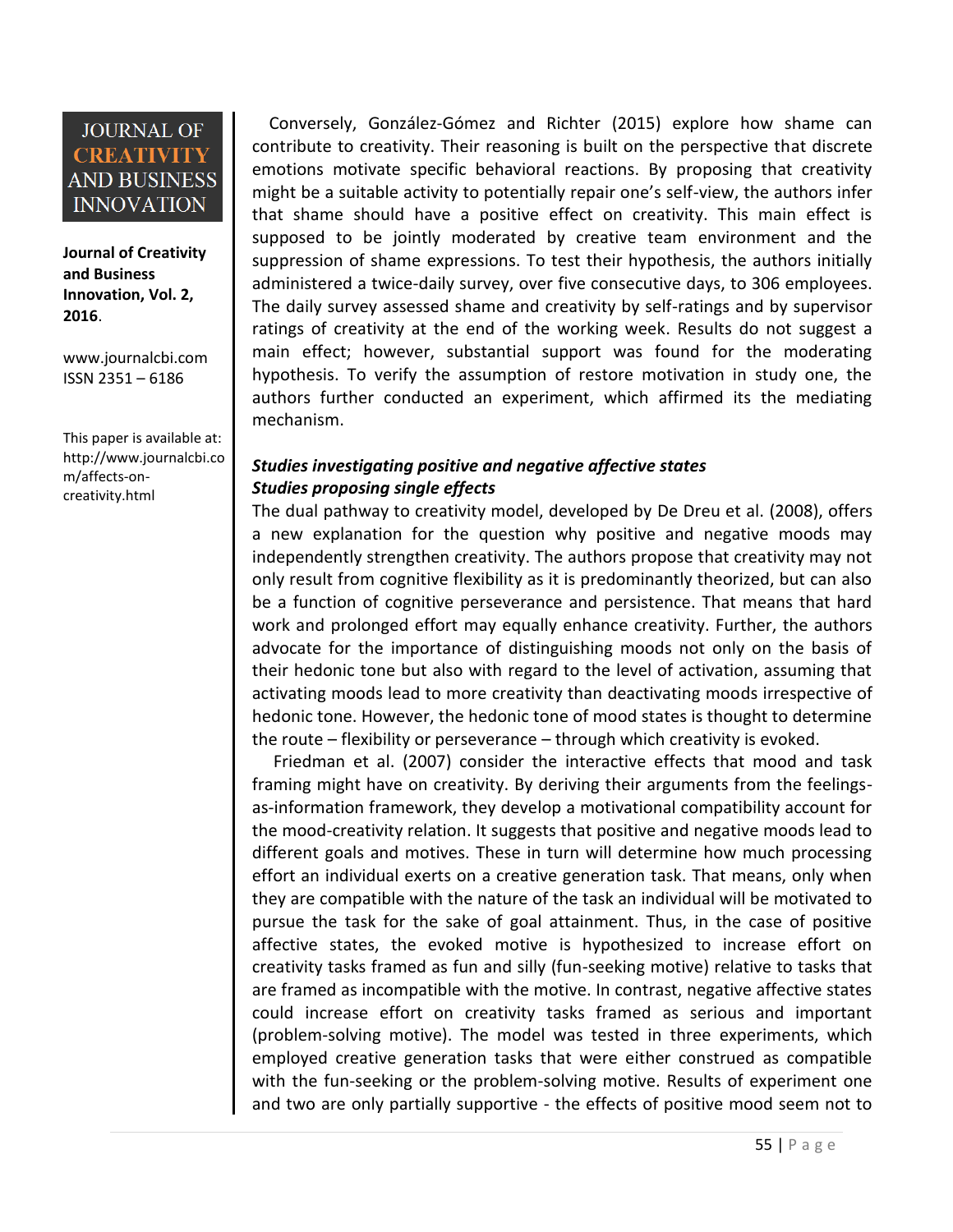**Journal of Creativity and Business Innovation, Vol. 2, 2016**.

[www.journalcbi.com](http://www.journalcbi.com/) ISSN 2351 – 6186

This paper is available at: [http://www.journalcbi.co](http://www.journalcbi.com/ideation-using-analogies.html) [m/affects-on](http://www.journalcbi.com/ideation-using-analogies.html)[creativity.html](http://www.journalcbi.com/ideation-using-analogies.html)

Conversely, González-Gómez and Richter (2015) explore how shame can contribute to creativity. Their reasoning is built on the perspective that discrete emotions motivate specific behavioral reactions. By proposing that creativity might be a suitable activity to potentially repair one's self-view, the authors infer that shame should have a positive effect on creativity. This main effect is supposed to be jointly moderated by creative team environment and the suppression of shame expressions. To test their hypothesis, the authors initially administered a twice-daily survey, over five consecutive days, to 306 employees. The daily survey assessed shame and creativity by self-ratings and by supervisor ratings of creativity at the end of the working week. Results do not suggest a main effect; however, substantial support was found for the moderating hypothesis. To verify the assumption of restore motivation in study one, the authors further conducted an experiment, which affirmed its the mediating mechanism.

### *Studies investigating positive and negative affective states Studies proposing single effects*

The dual pathway to creativity model, developed by De Dreu et al. (2008), offers a new explanation for the question why positive and negative moods may independently strengthen creativity. The authors propose that creativity may not only result from cognitive flexibility as it is predominantly theorized, but can also be a function of cognitive perseverance and persistence. That means that hard work and prolonged effort may equally enhance creativity. Further, the authors advocate for the importance of distinguishing moods not only on the basis of their hedonic tone but also with regard to the level of activation, assuming that activating moods lead to more creativity than deactivating moods irrespective of hedonic tone. However, the hedonic tone of mood states is thought to determine the route – flexibility or perseverance – through which creativity is evoked.

Friedman et al. (2007) consider the interactive effects that mood and task framing might have on creativity. By deriving their arguments from the feelingsas-information framework, they develop a motivational compatibility account for the mood-creativity relation. It suggests that positive and negative moods lead to different goals and motives. These in turn will determine how much processing effort an individual exerts on a creative generation task. That means, only when they are compatible with the nature of the task an individual will be motivated to pursue the task for the sake of goal attainment. Thus, in the case of positive affective states, the evoked motive is hypothesized to increase effort on creativity tasks framed as fun and silly (fun-seeking motive) relative to tasks that are framed as incompatible with the motive. In contrast, negative affective states could increase effort on creativity tasks framed as serious and important (problem-solving motive). The model was tested in three experiments, which employed creative generation tasks that were either construed as compatible with the fun-seeking or the problem-solving motive. Results of experiment one and two are only partially supportive - the effects of positive mood seem not to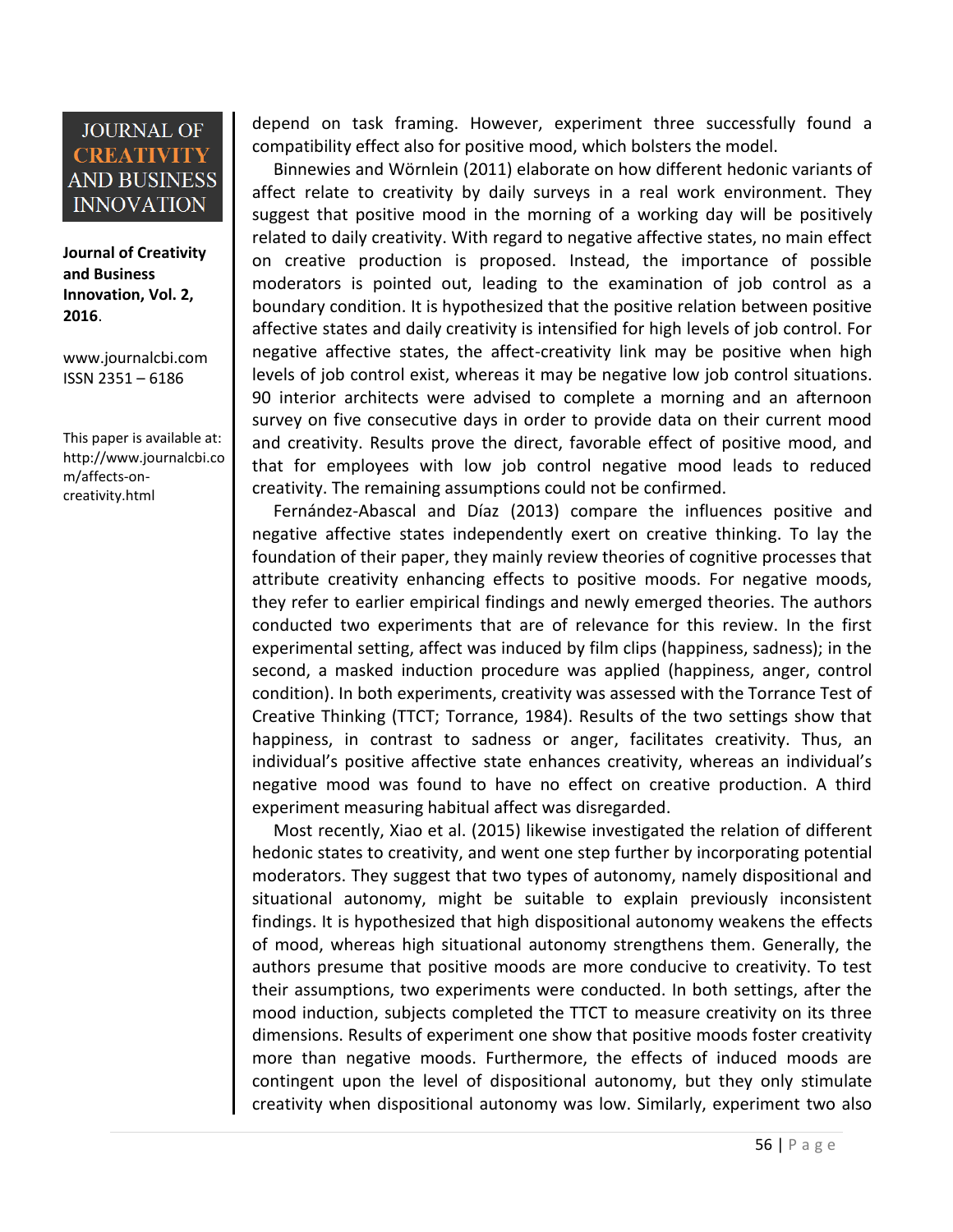**Journal of Creativity and Business Innovation, Vol. 2, 2016**.

[www.journalcbi.com](http://www.journalcbi.com/) ISSN 2351 – 6186

This paper is available at: [http://www.journalcbi.co](http://www.journalcbi.com/ideation-using-analogies.html) [m/affects-on](http://www.journalcbi.com/ideation-using-analogies.html)[creativity.html](http://www.journalcbi.com/ideation-using-analogies.html)

depend on task framing. However, experiment three successfully found a compatibility effect also for positive mood, which bolsters the model.

Binnewies and Wörnlein (2011) elaborate on how different hedonic variants of affect relate to creativity by daily surveys in a real work environment. They suggest that positive mood in the morning of a working day will be positively related to daily creativity. With regard to negative affective states, no main effect on creative production is proposed. Instead, the importance of possible moderators is pointed out, leading to the examination of job control as a boundary condition. It is hypothesized that the positive relation between positive affective states and daily creativity is intensified for high levels of job control. For negative affective states, the affect-creativity link may be positive when high levels of job control exist, whereas it may be negative low job control situations. 90 interior architects were advised to complete a morning and an afternoon survey on five consecutive days in order to provide data on their current mood and creativity. Results prove the direct, favorable effect of positive mood, and that for employees with low job control negative mood leads to reduced creativity. The remaining assumptions could not be confirmed.

Fernández-Abascal and Díaz (2013) compare the influences positive and negative affective states independently exert on creative thinking. To lay the foundation of their paper, they mainly review theories of cognitive processes that attribute creativity enhancing effects to positive moods. For negative moods, they refer to earlier empirical findings and newly emerged theories. The authors conducted two experiments that are of relevance for this review. In the first experimental setting, affect was induced by film clips (happiness, sadness); in the second, a masked induction procedure was applied (happiness, anger, control condition). In both experiments, creativity was assessed with the Torrance Test of Creative Thinking (TTCT; Torrance, 1984). Results of the two settings show that happiness, in contrast to sadness or anger, facilitates creativity. Thus, an individual's positive affective state enhances creativity, whereas an individual's negative mood was found to have no effect on creative production. A third experiment measuring habitual affect was disregarded.

Most recently, Xiao et al. (2015) likewise investigated the relation of different hedonic states to creativity, and went one step further by incorporating potential moderators. They suggest that two types of autonomy, namely dispositional and situational autonomy, might be suitable to explain previously inconsistent findings. It is hypothesized that high dispositional autonomy weakens the effects of mood, whereas high situational autonomy strengthens them. Generally, the authors presume that positive moods are more conducive to creativity. To test their assumptions, two experiments were conducted. In both settings, after the mood induction, subjects completed the TTCT to measure creativity on its three dimensions. Results of experiment one show that positive moods foster creativity more than negative moods. Furthermore, the effects of induced moods are contingent upon the level of dispositional autonomy, but they only stimulate creativity when dispositional autonomy was low. Similarly, experiment two also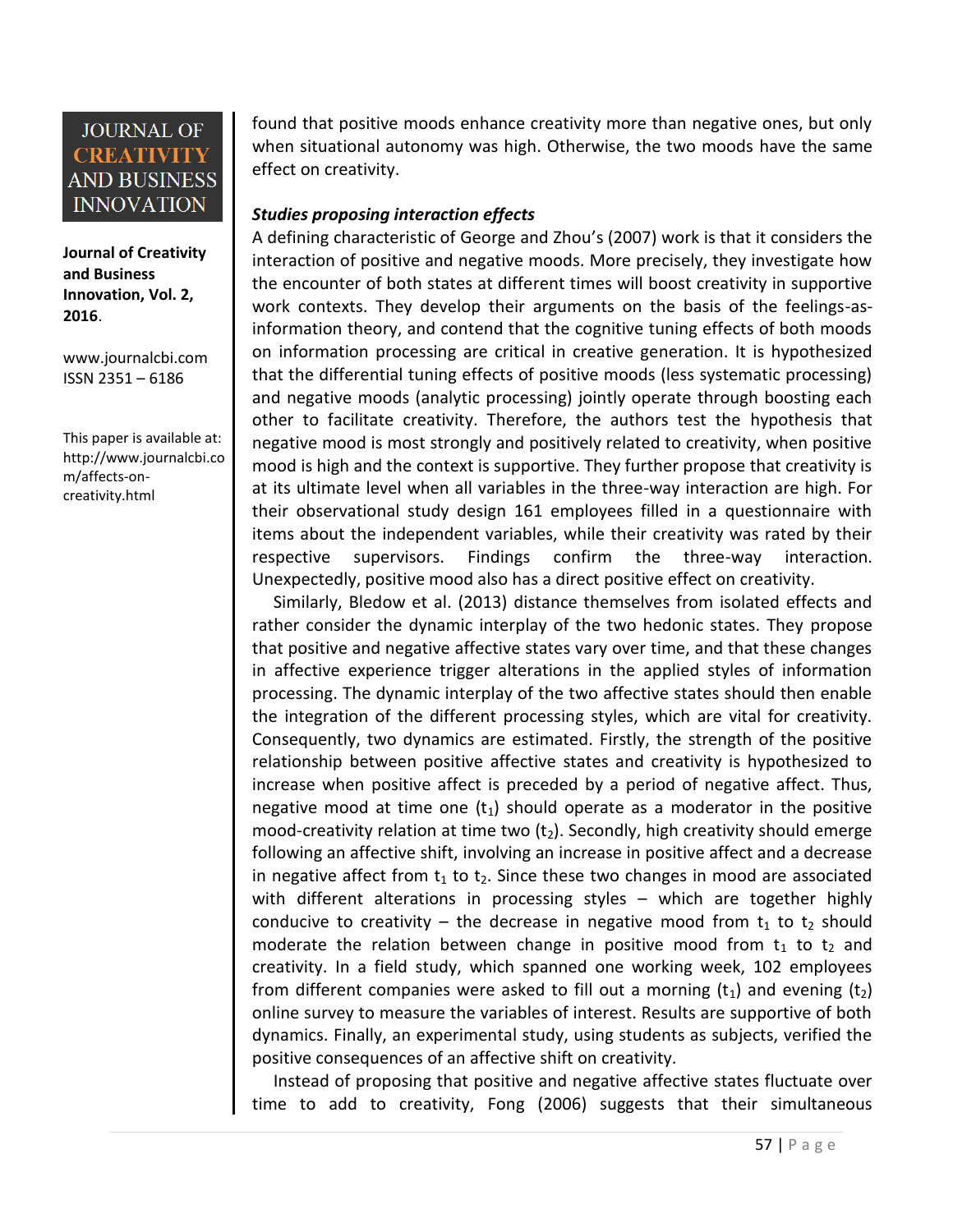**Journal of Creativity and Business Innovation, Vol. 2, 2016**.

[www.journalcbi.com](http://www.journalcbi.com/) ISSN 2351 – 6186

This paper is available at: [http://www.journalcbi.co](http://www.journalcbi.com/ideation-using-analogies.html) [m/affects-on](http://www.journalcbi.com/ideation-using-analogies.html)[creativity.html](http://www.journalcbi.com/ideation-using-analogies.html)

found that positive moods enhance creativity more than negative ones, but only when situational autonomy was high. Otherwise, the two moods have the same effect on creativity.

### *Studies proposing interaction effects*

A defining characteristic of George and Zhou's (2007) work is that it considers the interaction of positive and negative moods. More precisely, they investigate how the encounter of both states at different times will boost creativity in supportive work contexts. They develop their arguments on the basis of the feelings-asinformation theory, and contend that the cognitive tuning effects of both moods on information processing are critical in creative generation. It is hypothesized that the differential tuning effects of positive moods (less systematic processing) and negative moods (analytic processing) jointly operate through boosting each other to facilitate creativity. Therefore, the authors test the hypothesis that negative mood is most strongly and positively related to creativity, when positive mood is high and the context is supportive. They further propose that creativity is at its ultimate level when all variables in the three-way interaction are high. For their observational study design 161 employees filled in a questionnaire with items about the independent variables, while their creativity was rated by their respective supervisors. Findings confirm the three-way interaction. Unexpectedly, positive mood also has a direct positive effect on creativity.

Similarly, Bledow et al. (2013) distance themselves from isolated effects and rather consider the dynamic interplay of the two hedonic states. They propose that positive and negative affective states vary over time, and that these changes in affective experience trigger alterations in the applied styles of information processing. The dynamic interplay of the two affective states should then enable the integration of the different processing styles, which are vital for creativity. Consequently, two dynamics are estimated. Firstly, the strength of the positive relationship between positive affective states and creativity is hypothesized to increase when positive affect is preceded by a period of negative affect. Thus, negative mood at time one  $(t_1)$  should operate as a moderator in the positive mood-creativity relation at time two  $(t<sub>2</sub>)$ . Secondly, high creativity should emerge following an affective shift, involving an increase in positive affect and a decrease in negative affect from  $t_1$  to  $t_2$ . Since these two changes in mood are associated with different alterations in processing styles – which are together highly conducive to creativity – the decrease in negative mood from  $t_1$  to  $t_2$  should moderate the relation between change in positive mood from  $t_1$  to  $t_2$  and creativity. In a field study, which spanned one working week, 102 employees from different companies were asked to fill out a morning  $(t_1)$  and evening  $(t_2)$ online survey to measure the variables of interest. Results are supportive of both dynamics. Finally, an experimental study, using students as subjects, verified the positive consequences of an affective shift on creativity.

Instead of proposing that positive and negative affective states fluctuate over time to add to creativity, Fong (2006) suggests that their simultaneous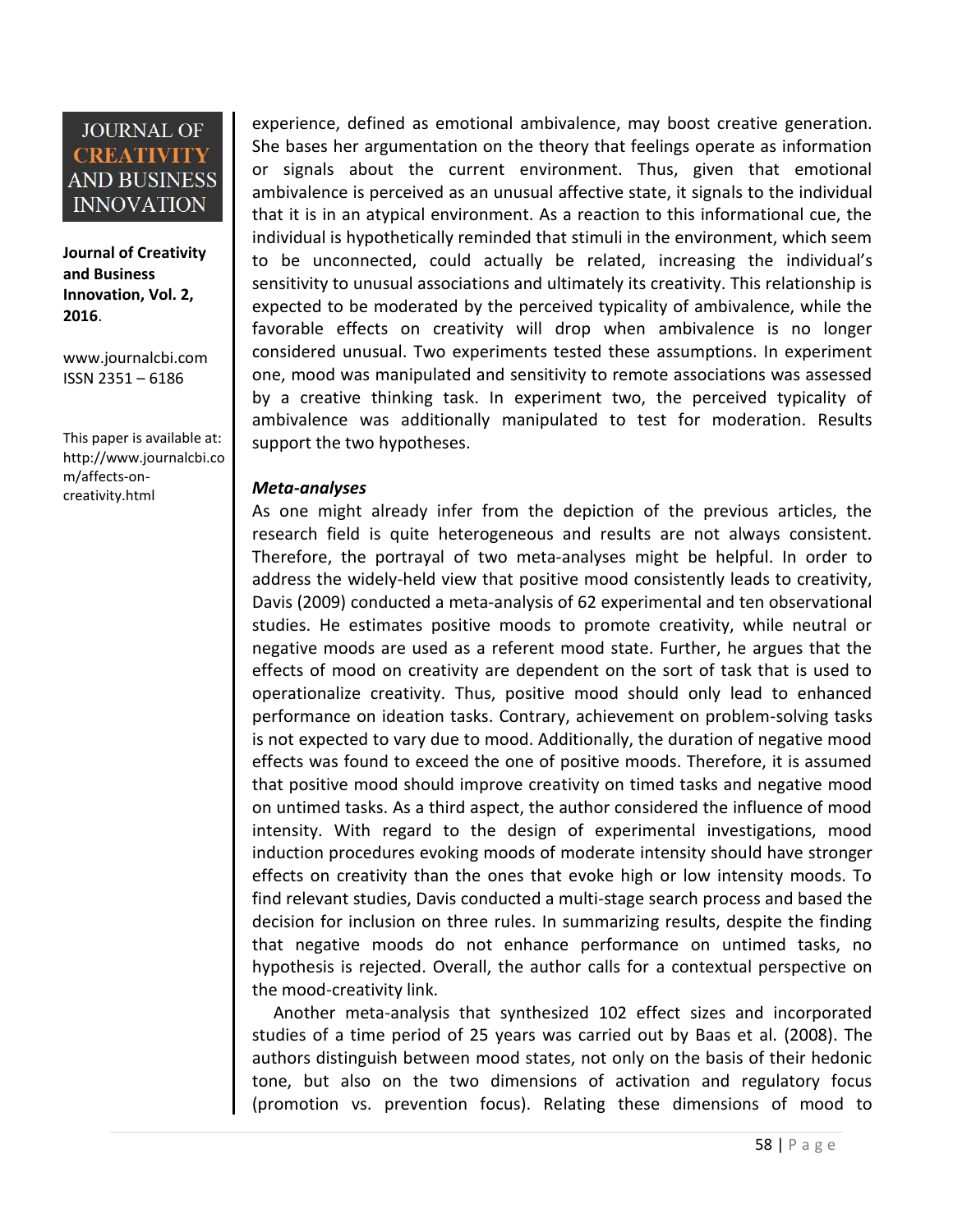**Journal of Creativity and Business Innovation, Vol. 2, 2016**.

[www.journalcbi.com](http://www.journalcbi.com/) ISSN 2351 – 6186

This paper is available at: [http://www.journalcbi.co](http://www.journalcbi.com/ideation-using-analogies.html) [m/affects-on](http://www.journalcbi.com/ideation-using-analogies.html)[creativity.html](http://www.journalcbi.com/ideation-using-analogies.html)

experience, defined as emotional ambivalence, may boost creative generation. She bases her argumentation on the theory that feelings operate as information or signals about the current environment. Thus, given that emotional ambivalence is perceived as an unusual affective state, it signals to the individual that it is in an atypical environment. As a reaction to this informational cue, the individual is hypothetically reminded that stimuli in the environment, which seem to be unconnected, could actually be related, increasing the individual's sensitivity to unusual associations and ultimately its creativity. This relationship is expected to be moderated by the perceived typicality of ambivalence, while the favorable effects on creativity will drop when ambivalence is no longer considered unusual. Two experiments tested these assumptions. In experiment one, mood was manipulated and sensitivity to remote associations was assessed by a creative thinking task. In experiment two, the perceived typicality of ambivalence was additionally manipulated to test for moderation. Results support the two hypotheses.

#### *Meta-analyses*

As one might already infer from the depiction of the previous articles, the research field is quite heterogeneous and results are not always consistent. Therefore, the portrayal of two meta-analyses might be helpful. In order to address the widely-held view that positive mood consistently leads to creativity, Davis (2009) conducted a meta-analysis of 62 experimental and ten observational studies. He estimates positive moods to promote creativity, while neutral or negative moods are used as a referent mood state. Further, he argues that the effects of mood on creativity are dependent on the sort of task that is used to operationalize creativity. Thus, positive mood should only lead to enhanced performance on ideation tasks. Contrary, achievement on problem-solving tasks is not expected to vary due to mood. Additionally, the duration of negative mood effects was found to exceed the one of positive moods. Therefore, it is assumed that positive mood should improve creativity on timed tasks and negative mood on untimed tasks. As a third aspect, the author considered the influence of mood intensity. With regard to the design of experimental investigations, mood induction procedures evoking moods of moderate intensity should have stronger effects on creativity than the ones that evoke high or low intensity moods. To find relevant studies, Davis conducted a multi-stage search process and based the decision for inclusion on three rules. In summarizing results, despite the finding that negative moods do not enhance performance on untimed tasks, no hypothesis is rejected. Overall, the author calls for a contextual perspective on the mood-creativity link.

Another meta-analysis that synthesized 102 effect sizes and incorporated studies of a time period of 25 years was carried out by Baas et al. (2008). The authors distinguish between mood states, not only on the basis of their hedonic tone, but also on the two dimensions of activation and regulatory focus (promotion vs. prevention focus). Relating these dimensions of mood to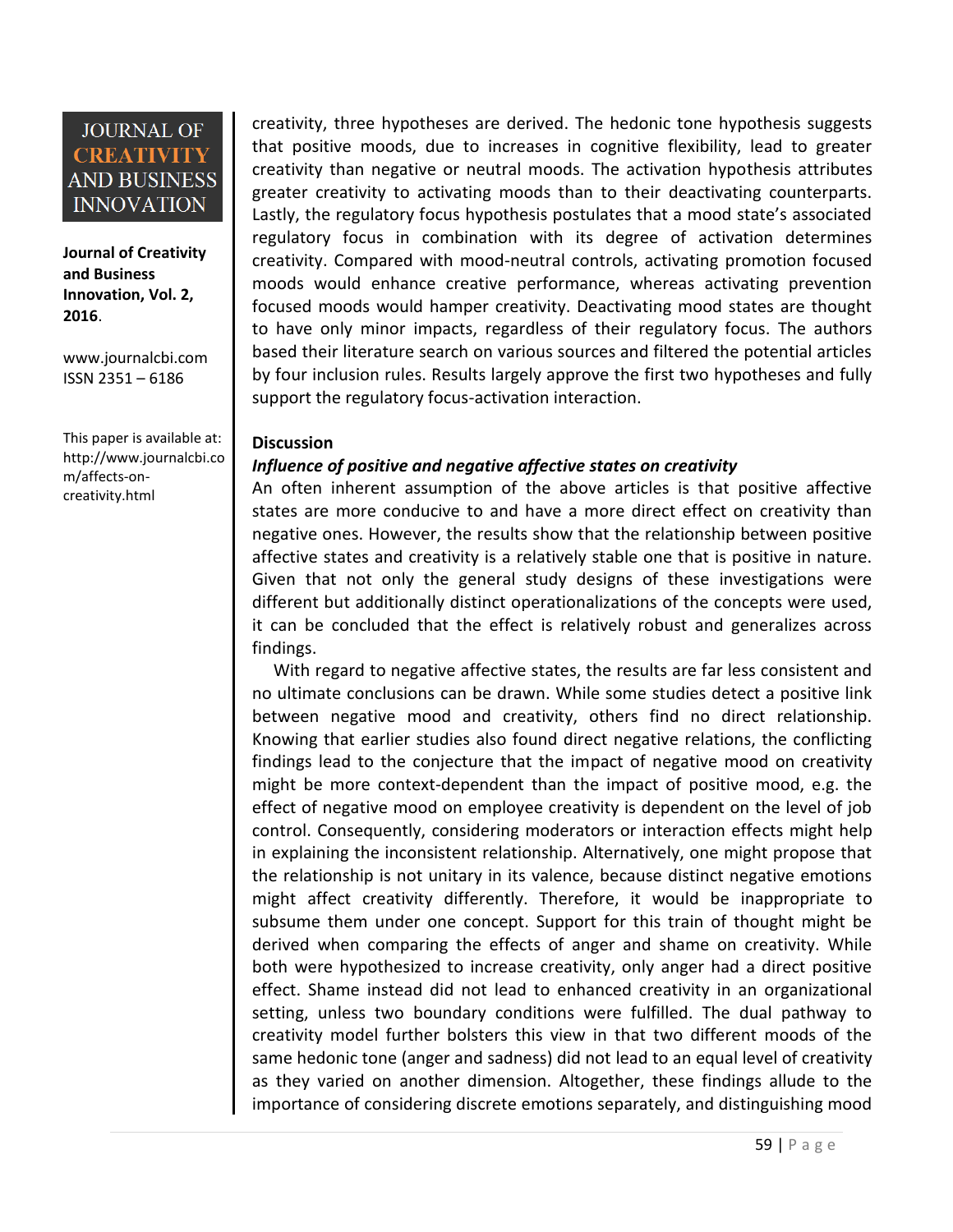**Journal of Creativity and Business Innovation, Vol. 2, 2016**.

[www.journalcbi.com](http://www.journalcbi.com/) ISSN 2351 – 6186

This paper is available at: [http://www.journalcbi.co](http://www.journalcbi.com/ideation-using-analogies.html) [m/affects-on](http://www.journalcbi.com/ideation-using-analogies.html)[creativity.html](http://www.journalcbi.com/ideation-using-analogies.html)

creativity, three hypotheses are derived. The hedonic tone hypothesis suggests that positive moods, due to increases in cognitive flexibility, lead to greater creativity than negative or neutral moods. The activation hypothesis attributes greater creativity to activating moods than to their deactivating counterparts. Lastly, the regulatory focus hypothesis postulates that a mood state's associated regulatory focus in combination with its degree of activation determines creativity. Compared with mood-neutral controls, activating promotion focused moods would enhance creative performance, whereas activating prevention focused moods would hamper creativity. Deactivating mood states are thought to have only minor impacts, regardless of their regulatory focus. The authors based their literature search on various sources and filtered the potential articles by four inclusion rules. Results largely approve the first two hypotheses and fully support the regulatory focus-activation interaction.

#### **Discussion**

#### *Influence of positive and negative affective states on creativity*

An often inherent assumption of the above articles is that positive affective states are more conducive to and have a more direct effect on creativity than negative ones. However, the results show that the relationship between positive affective states and creativity is a relatively stable one that is positive in nature. Given that not only the general study designs of these investigations were different but additionally distinct operationalizations of the concepts were used, it can be concluded that the effect is relatively robust and generalizes across findings.

With regard to negative affective states, the results are far less consistent and no ultimate conclusions can be drawn. While some studies detect a positive link between negative mood and creativity, others find no direct relationship. Knowing that earlier studies also found direct negative relations, the conflicting findings lead to the conjecture that the impact of negative mood on creativity might be more context-dependent than the impact of positive mood, e.g. the effect of negative mood on employee creativity is dependent on the level of job control. Consequently, considering moderators or interaction effects might help in explaining the inconsistent relationship. Alternatively, one might propose that the relationship is not unitary in its valence, because distinct negative emotions might affect creativity differently. Therefore, it would be inappropriate to subsume them under one concept. Support for this train of thought might be derived when comparing the effects of anger and shame on creativity. While both were hypothesized to increase creativity, only anger had a direct positive effect. Shame instead did not lead to enhanced creativity in an organizational setting, unless two boundary conditions were fulfilled. The dual pathway to creativity model further bolsters this view in that two different moods of the same hedonic tone (anger and sadness) did not lead to an equal level of creativity as they varied on another dimension. Altogether, these findings allude to the importance of considering discrete emotions separately, and distinguishing mood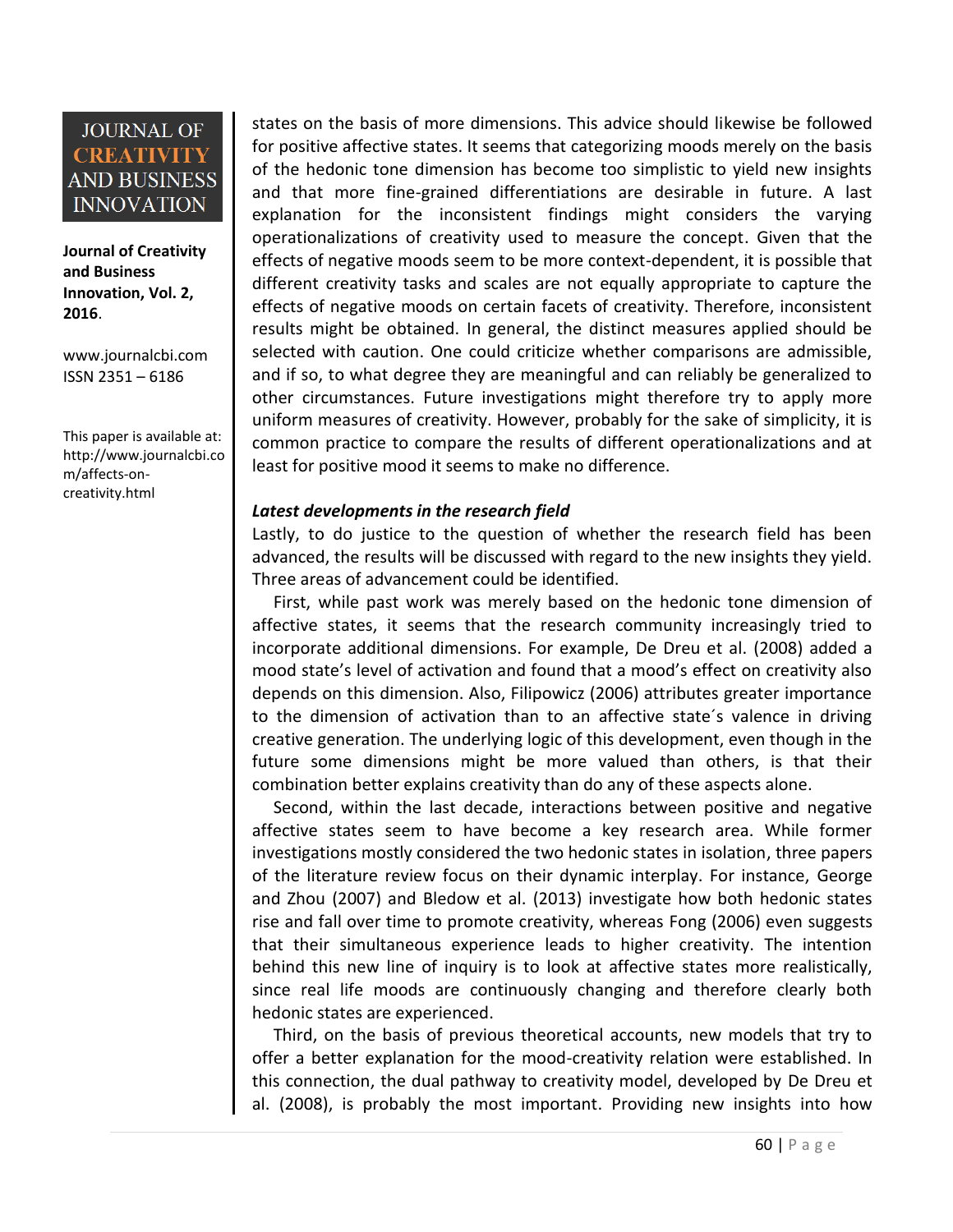**Journal of Creativity and Business Innovation, Vol. 2, 2016**.

[www.journalcbi.com](http://www.journalcbi.com/) ISSN 2351 – 6186

This paper is available at: [http://www.journalcbi.co](http://www.journalcbi.com/ideation-using-analogies.html) [m/affects-on](http://www.journalcbi.com/ideation-using-analogies.html)[creativity.html](http://www.journalcbi.com/ideation-using-analogies.html)

states on the basis of more dimensions. This advice should likewise be followed for positive affective states. It seems that categorizing moods merely on the basis of the hedonic tone dimension has become too simplistic to yield new insights and that more fine-grained differentiations are desirable in future. A last explanation for the inconsistent findings might considers the varying operationalizations of creativity used to measure the concept. Given that the effects of negative moods seem to be more context-dependent, it is possible that different creativity tasks and scales are not equally appropriate to capture the effects of negative moods on certain facets of creativity. Therefore, inconsistent results might be obtained. In general, the distinct measures applied should be selected with caution. One could criticize whether comparisons are admissible, and if so, to what degree they are meaningful and can reliably be generalized to other circumstances. Future investigations might therefore try to apply more uniform measures of creativity. However, probably for the sake of simplicity, it is common practice to compare the results of different operationalizations and at least for positive mood it seems to make no difference.

#### *Latest developments in the research field*

Lastly, to do justice to the question of whether the research field has been advanced, the results will be discussed with regard to the new insights they yield. Three areas of advancement could be identified.

First, while past work was merely based on the hedonic tone dimension of affective states, it seems that the research community increasingly tried to incorporate additional dimensions. For example, De Dreu et al. (2008) added a mood state's level of activation and found that a mood's effect on creativity also depends on this dimension. Also, Filipowicz (2006) attributes greater importance to the dimension of activation than to an affective state´s valence in driving creative generation. The underlying logic of this development, even though in the future some dimensions might be more valued than others, is that their combination better explains creativity than do any of these aspects alone.

Second, within the last decade, interactions between positive and negative affective states seem to have become a key research area. While former investigations mostly considered the two hedonic states in isolation, three papers of the literature review focus on their dynamic interplay. For instance, George and Zhou (2007) and Bledow et al. (2013) investigate how both hedonic states rise and fall over time to promote creativity, whereas Fong (2006) even suggests that their simultaneous experience leads to higher creativity. The intention behind this new line of inquiry is to look at affective states more realistically, since real life moods are continuously changing and therefore clearly both hedonic states are experienced.

Third, on the basis of previous theoretical accounts, new models that try to offer a better explanation for the mood-creativity relation were established. In this connection, the dual pathway to creativity model, developed by De Dreu et al. (2008), is probably the most important. Providing new insights into how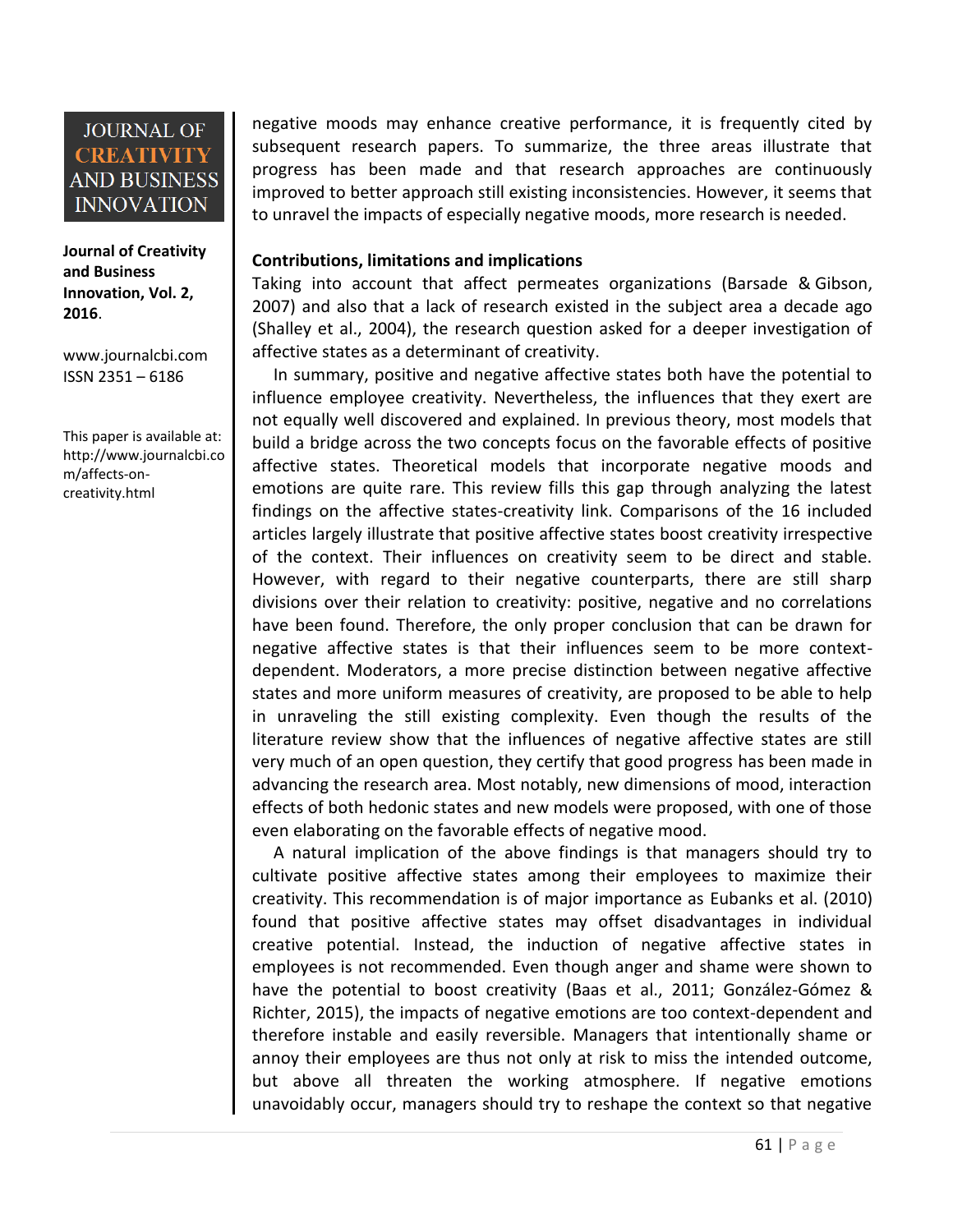#### **Journal of Creativity and Business Innovation, Vol. 2, 2016**.

[www.journalcbi.com](http://www.journalcbi.com/) ISSN 2351 – 6186

This paper is available at: [http://www.journalcbi.co](http://www.journalcbi.com/ideation-using-analogies.html) [m/affects-on](http://www.journalcbi.com/ideation-using-analogies.html)[creativity.html](http://www.journalcbi.com/ideation-using-analogies.html)

negative moods may enhance creative performance, it is frequently cited by subsequent research papers. To summarize, the three areas illustrate that progress has been made and that research approaches are continuously improved to better approach still existing inconsistencies. However, it seems that to unravel the impacts of especially negative moods, more research is needed.

#### **Contributions, limitations and implications**

Taking into account that affect permeates organizations (Barsade & Gibson, 2007) and also that a lack of research existed in the subject area a decade ago (Shalley et al., 2004), the research question asked for a deeper investigation of affective states as a determinant of creativity.

In summary, positive and negative affective states both have the potential to influence employee creativity. Nevertheless, the influences that they exert are not equally well discovered and explained. In previous theory, most models that build a bridge across the two concepts focus on the favorable effects of positive affective states. Theoretical models that incorporate negative moods and emotions are quite rare. This review fills this gap through analyzing the latest findings on the affective states-creativity link. Comparisons of the 16 included articles largely illustrate that positive affective states boost creativity irrespective of the context. Their influences on creativity seem to be direct and stable. However, with regard to their negative counterparts, there are still sharp divisions over their relation to creativity: positive, negative and no correlations have been found. Therefore, the only proper conclusion that can be drawn for negative affective states is that their influences seem to be more contextdependent. Moderators, a more precise distinction between negative affective states and more uniform measures of creativity, are proposed to be able to help in unraveling the still existing complexity. Even though the results of the literature review show that the influences of negative affective states are still very much of an open question, they certify that good progress has been made in advancing the research area. Most notably, new dimensions of mood, interaction effects of both hedonic states and new models were proposed, with one of those even elaborating on the favorable effects of negative mood.

A natural implication of the above findings is that managers should try to cultivate positive affective states among their employees to maximize their creativity. This recommendation is of major importance as Eubanks et al. (2010) found that positive affective states may offset disadvantages in individual creative potential. Instead, the induction of negative affective states in employees is not recommended. Even though anger and shame were shown to have the potential to boost creativity (Baas et al., 2011; González-Gómez & Richter, 2015), the impacts of negative emotions are too context-dependent and therefore instable and easily reversible. Managers that intentionally shame or annoy their employees are thus not only at risk to miss the intended outcome, but above all threaten the working atmosphere. If negative emotions unavoidably occur, managers should try to reshape the context so that negative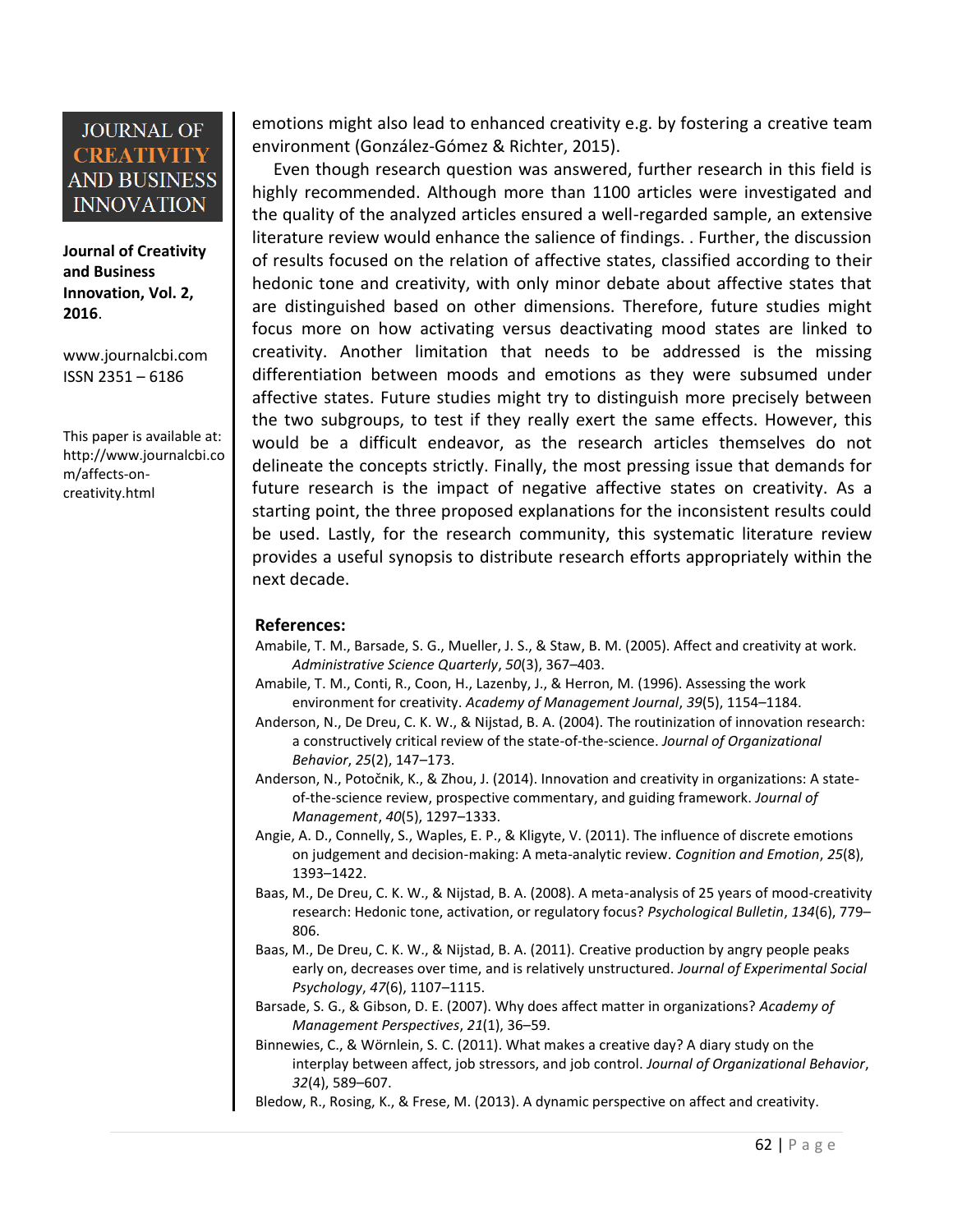**Journal of Creativity and Business Innovation, Vol. 2, 2016**.

[www.journalcbi.com](http://www.journalcbi.com/) ISSN 2351 – 6186

This paper is available at: [http://www.journalcbi.co](http://www.journalcbi.com/ideation-using-analogies.html) [m/affects-on](http://www.journalcbi.com/ideation-using-analogies.html)[creativity.html](http://www.journalcbi.com/ideation-using-analogies.html)

emotions might also lead to enhanced creativity e.g. by fostering a creative team environment (González-Gómez & Richter, 2015).

Even though research question was answered, further research in this field is highly recommended. Although more than 1100 articles were investigated and the quality of the analyzed articles ensured a well-regarded sample, an extensive literature review would enhance the salience of findings. . Further, the discussion of results focused on the relation of affective states, classified according to their hedonic tone and creativity, with only minor debate about affective states that are distinguished based on other dimensions. Therefore, future studies might focus more on how activating versus deactivating mood states are linked to creativity. Another limitation that needs to be addressed is the missing differentiation between moods and emotions as they were subsumed under affective states. Future studies might try to distinguish more precisely between the two subgroups, to test if they really exert the same effects. However, this would be a difficult endeavor, as the research articles themselves do not delineate the concepts strictly. Finally, the most pressing issue that demands for future research is the impact of negative affective states on creativity. As a starting point, the three proposed explanations for the inconsistent results could be used. Lastly, for the research community, this systematic literature review provides a useful synopsis to distribute research efforts appropriately within the next decade.

#### **References:**

- Amabile, T. M., Barsade, S. G., Mueller, J. S., & Staw, B. M. (2005). Affect and creativity at work. *Administrative Science Quarterly*, *50*(3), 367–403.
- Amabile, T. M., Conti, R., Coon, H., Lazenby, J., & Herron, M. (1996). Assessing the work environment for creativity. *Academy of Management Journal*, *39*(5), 1154–1184.
- Anderson, N., De Dreu, C. K. W., & Nijstad, B. A. (2004). The routinization of innovation research: a constructively critical review of the state-of-the-science. *Journal of Organizational Behavior*, *25*(2), 147–173.
- Anderson, N., Potočnik, K., & Zhou, J. (2014). Innovation and creativity in organizations: A stateof-the-science review, prospective commentary, and guiding framework. *Journal of Management*, *40*(5), 1297–1333.
- Angie, A. D., Connelly, S., Waples, E. P., & Kligyte, V. (2011). The influence of discrete emotions on judgement and decision-making: A meta-analytic review. *Cognition and Emotion*, *25*(8), 1393–1422.
- Baas, M., De Dreu, C. K. W., & Nijstad, B. A. (2008). A meta-analysis of 25 years of mood-creativity research: Hedonic tone, activation, or regulatory focus? *Psychological Bulletin*, *134*(6), 779– 806.
- Baas, M., De Dreu, C. K. W., & Nijstad, B. A. (2011). Creative production by angry people peaks early on, decreases over time, and is relatively unstructured. *Journal of Experimental Social Psychology*, *47*(6), 1107–1115.
- Barsade, S. G., & Gibson, D. E. (2007). Why does affect matter in organizations? *Academy of Management Perspectives*, *21*(1), 36–59.
- Binnewies, C., & Wörnlein, S. C. (2011). What makes a creative day? A diary study on the interplay between affect, job stressors, and job control. *Journal of Organizational Behavior*, *32*(4), 589–607.

Bledow, R., Rosing, K., & Frese, M. (2013). A dynamic perspective on affect and creativity.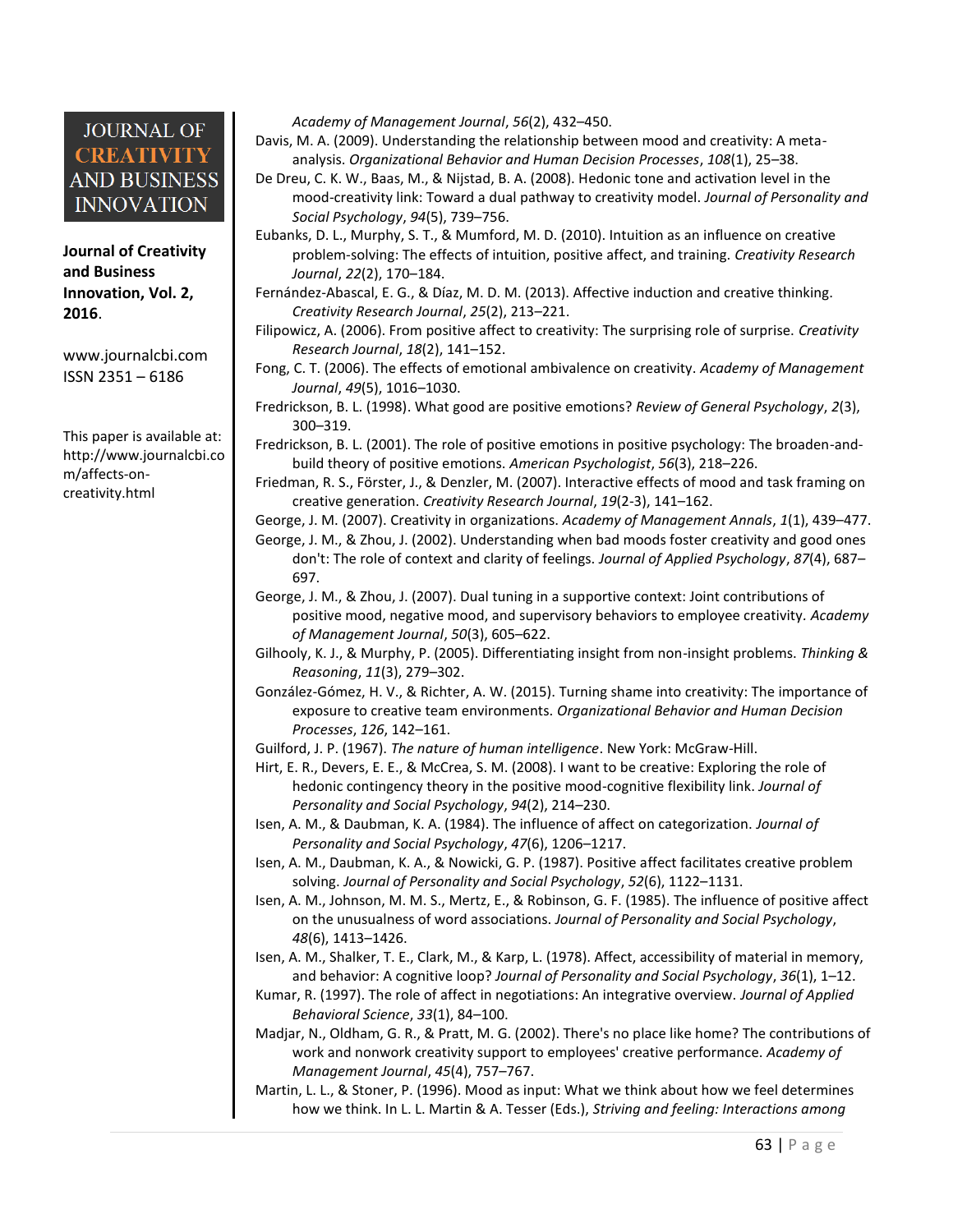**Journal of Creativity and Business Innovation, Vol. 2, 2016**.

[www.journalcbi.com](http://www.journalcbi.com/) ISSN 2351 – 6186

This paper is available at: [http://www.journalcbi.co](http://www.journalcbi.com/ideation-using-analogies.html) [m/affects-on](http://www.journalcbi.com/ideation-using-analogies.html)[creativity.html](http://www.journalcbi.com/ideation-using-analogies.html)

*Academy of Management Journal*, *56*(2), 432–450.

Davis, M. A. (2009). Understanding the relationship between mood and creativity: A metaanalysis. *Organizational Behavior and Human Decision Processes*, *108*(1), 25–38.

- De Dreu, C. K. W., Baas, M., & Nijstad, B. A. (2008). Hedonic tone and activation level in the mood-creativity link: Toward a dual pathway to creativity model. *Journal of Personality and Social Psychology*, *94*(5), 739–756.
- Eubanks, D. L., Murphy, S. T., & Mumford, M. D. (2010). Intuition as an influence on creative problem-solving: The effects of intuition, positive affect, and training. *Creativity Research Journal*, *22*(2), 170–184.
- Fernández-Abascal, E. G., & Díaz, M. D. M. (2013). Affective induction and creative thinking. *Creativity Research Journal*, *25*(2), 213–221.
- Filipowicz, A. (2006). From positive affect to creativity: The surprising role of surprise. *Creativity Research Journal*, *18*(2), 141–152.
- Fong, C. T. (2006). The effects of emotional ambivalence on creativity. *Academy of Management Journal*, *49*(5), 1016–1030.
- Fredrickson, B. L. (1998). What good are positive emotions? *Review of General Psychology*, *2*(3), 300–319.
- Fredrickson, B. L. (2001). The role of positive emotions in positive psychology: The broaden-andbuild theory of positive emotions. *American Psychologist*, *56*(3), 218–226.
- Friedman, R. S., Förster, J., & Denzler, M. (2007). Interactive effects of mood and task framing on creative generation. *Creativity Research Journal*, *19*(2-3), 141–162.
- George, J. M. (2007). Creativity in organizations. *Academy of Management Annals*, *1*(1), 439–477.
- George, J. M., & Zhou, J. (2002). Understanding when bad moods foster creativity and good ones don't: The role of context and clarity of feelings. *Journal of Applied Psychology*, *87*(4), 687– 697.
- George, J. M., & Zhou, J. (2007). Dual tuning in a supportive context: Joint contributions of positive mood, negative mood, and supervisory behaviors to employee creativity*. Academy of Management Journal*, *50*(3), 605–622.
- Gilhooly, K. J., & Murphy, P. (2005). Differentiating insight from non-insight problems. *Thinking & Reasoning*, *11*(3), 279–302.
- González-Gómez, H. V., & Richter, A. W. (2015). Turning shame into creativity: The importance of exposure to creative team environments. *Organizational Behavior and Human Decision Processes*, *126*, 142–161.

Guilford, J. P. (1967). *The nature of human intelligence*. New York: McGraw-Hill.

- Hirt, E. R., Devers, E. E., & McCrea, S. M. (2008). I want to be creative: Exploring the role of hedonic contingency theory in the positive mood-cognitive flexibility link. *Journal of Personality and Social Psychology*, *94*(2), 214–230.
- Isen, A. M., & Daubman, K. A. (1984). The influence of affect on categorization. *Journal of Personality and Social Psychology*, *47*(6), 1206–1217.
- Isen, A. M., Daubman, K. A., & Nowicki, G. P. (1987). Positive affect facilitates creative problem solving. *Journal of Personality and Social Psychology*, *52*(6), 1122–1131.
- Isen, A. M., Johnson, M. M. S., Mertz, E., & Robinson, G. F. (1985). The influence of positive affect on the unusualness of word associations. *Journal of Personality and Social Psychology*, *48*(6), 1413–1426.
- Isen, A. M., Shalker, T. E., Clark, M., & Karp, L. (1978). Affect, accessibility of material in memory, and behavior: A cognitive loop? *Journal of Personality and Social Psychology*, *36*(1), 1–12.
- Kumar, R. (1997). The role of affect in negotiations: An integrative overview. *Journal of Applied Behavioral Science*, *33*(1), 84–100.
- Madjar, N., Oldham, G. R., & Pratt, M. G. (2002). There's no place like home? The contributions of work and nonwork creativity support to employees' creative performance. *Academy of Management Journal*, *45*(4), 757–767.
- Martin, L. L., & Stoner, P. (1996). Mood as input: What we think about how we feel determines how we think. In L. L. Martin & A. Tesser (Eds.), *Striving and feeling: Interactions among*